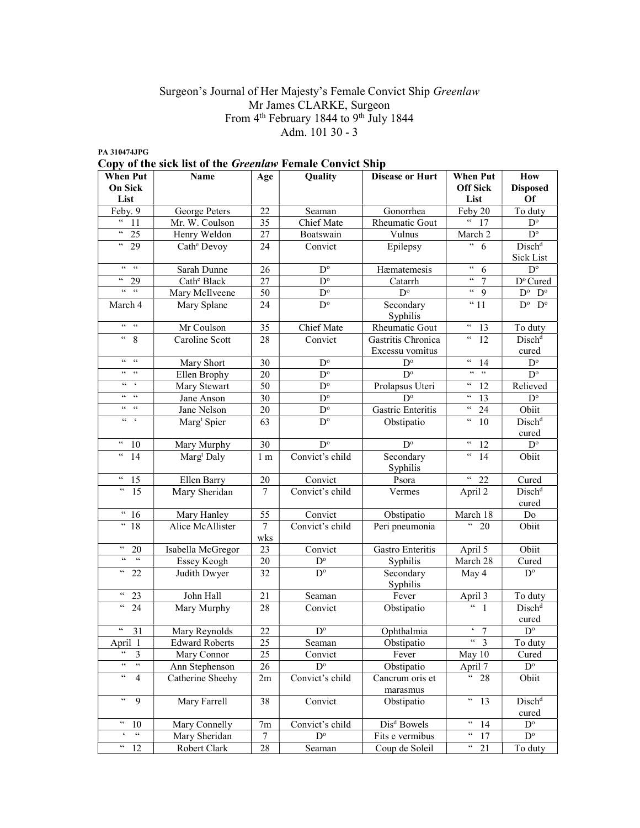### Surgeon's Journal of Her Majesty's Female Convict Ship Greenlaw Mr James CLARKE, Surgeon From 4<sup>th</sup> February 1844 to 9<sup>th</sup> July 1844 Adm. 101 30 - 3

| <b>When Put</b>                                                                  | Name                    | Age            | Quality                 | <b>Disease or Hurt</b>      | <b>When Put</b>                                         | How                           |
|----------------------------------------------------------------------------------|-------------------------|----------------|-------------------------|-----------------------------|---------------------------------------------------------|-------------------------------|
| On Sick<br>List                                                                  |                         |                |                         |                             | <b>Off Sick</b><br>List                                 | <b>Disposed</b><br><b>Of</b>  |
| Feby. 9                                                                          | George Peters           | 22             | Seaman                  | Gonorrhea                   | Feby 20                                                 | To duty                       |
| $\epsilon$ $\epsilon$<br>11                                                      | Mr. W. Coulson          | 35             | Chief Mate              | Rheumatic Gout              | $\zeta\,\zeta$<br>17                                    | $\mathbf{D}^{\text{o}}$       |
| $\epsilon\,\epsilon$<br>25                                                       | Henry Weldon            | 27             | Boatswain               | Vulnus                      | March 2                                                 | $\mathbf{D}^{\text{o}}$       |
| $\epsilon\epsilon$<br>29                                                         | Cath <sup>e</sup> Devoy | 24             | Convict                 | Epilepsy                    | $\epsilon\,\epsilon$<br>6                               | Disch <sup>d</sup>            |
|                                                                                  |                         |                |                         |                             |                                                         | Sick List                     |
| $66-66$                                                                          | Sarah Dunne             | 26             | $D^{\circ}$             | Hæmatemesis                 | $\boldsymbol{\varsigma} \, \boldsymbol{\varsigma}$<br>6 | $\mathbf{D}^{\text{o}}$       |
| $\mathfrak{c}\mathfrak{c}$<br>29                                                 | Cath <sup>e</sup> Black | 27             | $\overline{D^{\circ}}$  | Catarrh                     | $\epsilon\epsilon$<br>$\overline{7}$                    | D° Cured                      |
| $\epsilon\epsilon=-\epsilon\epsilon$                                             | Mary McIlveene          | 50             | $D^{\circ}$             | $D^{\circ}$                 | $\epsilon\epsilon$<br>9                                 | $D^{\rm o}$ $D^{\rm o}$       |
| March 4                                                                          | Mary Splane             | 24             | $D^{\circ}$             | Secondary                   | $\overline{41}$                                         | $\overline{D^o \ D^o}$        |
| $66 - 66$                                                                        | Mr Coulson              | 35             | Chief Mate              | Syphilis<br>Rheumatic Gout  | $\epsilon\epsilon$                                      |                               |
| $\mathsf{G} \mathsf{G}$<br>8                                                     | Caroline Scott          | 28             | Convict                 | Gastritis Chronica          | 13<br>$\epsilon$ $\epsilon$<br>12                       | To duty<br>Disch <sup>d</sup> |
|                                                                                  |                         |                |                         | Excessu vomitus             |                                                         | cured                         |
| $66 - 66$                                                                        | Mary Short              | 30             | $D^{\circ}$             | $D^{\circ}$                 | $\epsilon$ $\epsilon$<br>14                             | $\mathbf{D}^{\text{o}}$       |
| $66 - 66$                                                                        | Ellen Brophy            | 20             | $D^{\circ}$             | $D^{\circ}$                 | $66\,-\,66$                                             | $D^{\circ}$                   |
| $66 - 6$                                                                         | Mary Stewart            | 50             | $D^{\circ}$             | Prolapsus Uteri             | $\zeta\,\zeta$<br>12                                    | Relieved                      |
| $66 - 66$                                                                        | Jane Anson              | 30             | $D^{\circ}$             | $D^{\circ}$                 | $\epsilon\,\epsilon$<br>13                              | $\mathbf{D}^{\text{o}}$       |
| $66 - 66$                                                                        | Jane Nelson             | 20             | $D^{\circ}$             | Gastric Enteritis           | $\epsilon\,\epsilon$<br>24                              | Obiit                         |
| $66-6$                                                                           | Marg <sup>t</sup> Spier | 63             | $D^{\circ}$             | Obstipatio                  | $\epsilon\epsilon$<br>10                                | Disch <sup>d</sup>            |
|                                                                                  |                         |                |                         |                             |                                                         | cured                         |
| $\epsilon\epsilon$<br>10                                                         | Mary Murphy             | 30             | $D^{\circ}$             | $D^{\circ}$                 | $\mathsf{c}\,\mathsf{c}$<br>12                          | $\mathbf{D}^{\text{o}}$       |
| $\mathfrak{c}$<br>14                                                             | Marg <sup>t</sup> Daly  | 1 <sub>m</sub> | Convict's child         | Secondary<br>Syphilis       | $\zeta \, \zeta$<br>14                                  | Obiit                         |
| $\boldsymbol{\varsigma} \, \boldsymbol{\varsigma}$<br>15                         | Ellen Barry             | $20\,$         | Convict                 | Psora                       | $\epsilon$<br>22                                        | Cured                         |
| $\epsilon\epsilon$<br>15                                                         | Mary Sheridan           | 7              | Convict's child         | Vermes                      | April 2                                                 | Disch <sup>d</sup><br>cured   |
| $\frac{1}{6}$ 16                                                                 | Mary Hanley             | 55             | Convict                 | Obstipatio                  | March 18                                                | Do                            |
| $\frac{18}{18}$                                                                  | Alice McAllister        | 7              | Convict's child         | Peri pneumonia              | $\epsilon\epsilon$<br>$\overline{20}$                   | Obiit                         |
| $\epsilon\epsilon$                                                               |                         | wks            |                         |                             |                                                         |                               |
| 20<br>$\epsilon\,\epsilon$<br>66                                                 | Isabella McGregor       | 23             | Convict                 | Gastro Enteritis            | April 5                                                 | Obiit                         |
| $\overline{4}$ 22                                                                | Essey Keogh             | $20\,$         | $D^{\circ}$             | Syphilis                    | March 28                                                | Cured                         |
|                                                                                  | Judith Dwyer            | 32             | $\mathbf{D}^{\text{o}}$ | Secondary<br>Syphilis       | May 4                                                   | $D^{\circ}$                   |
| $\epsilon\,\epsilon$<br>23                                                       | John Hall               | 21             | Seaman                  | Fever                       | April 3                                                 | To duty                       |
| $\epsilon\epsilon$<br>$\overline{24}$                                            | Mary Murphy             | 28             | Convict                 | Obstipatio                  | $66 - 1$                                                | Disch <sup>d</sup><br>cured   |
| $\zeta \, \zeta$<br>31                                                           | Mary Reynolds           | 22             | $\mathbf{D}^{\text{o}}$ | Ophthalmia                  | $\overline{5}$ 7                                        | $\mathbf{D}^{\text{o}}$       |
| April 1                                                                          | <b>Edward Roberts</b>   | 25             | Seaman                  | Obstipatio                  | $\mathsf{c}\,\mathsf{c}$<br>$\overline{3}$              | To duty                       |
| $\epsilon\epsilon$<br>3                                                          | Mary Connor             | 25             | Convict                 | Fever                       | May 10                                                  | Cured                         |
| $\mathfrak{c}\mathfrak{c}$<br>$\boldsymbol{\varsigma} \, \boldsymbol{\varsigma}$ | Ann Stephenson          | 26             | $D^{\circ}$             | Obstipatio                  | April 7                                                 | $D^{\circ}$                   |
| $\boldsymbol{\epsilon}\boldsymbol{\epsilon}$<br>4                                | Catherine Sheehy        | 2m             | Convict's child         | Cancrum oris et<br>marasmus | $\epsilon\epsilon$<br>28                                | Obiit                         |
| $\mathcal{C}\mathcal{C}$<br>9                                                    | Mary Farrell            | 38             | Convict                 | Obstipatio                  | $\epsilon\, \epsilon$<br>13                             | Disch <sup>d</sup><br>cured   |
| $\boldsymbol{\varsigma} \, \boldsymbol{\varsigma}$<br>10                         | Mary Connelly           | 7m             | Convict's child         | Dis <sup>d</sup> Bowels     | $\epsilon\epsilon$<br>14                                | $D^{\circ}$                   |
| $\zeta\,\zeta$<br>$\boldsymbol{\varsigma}$                                       | Mary Sheridan           | 7              | $D^{\circ}$             | Fits e vermibus             | $\mathfrak{c}\,\mathfrak{c}$<br>17                      | $\mathbf{D}^{\text{o}}$       |
| $\epsilon\epsilon$<br>12                                                         | Robert Clark            | 28             | Seaman                  | Coup de Soleil              | $\epsilon\epsilon$<br>21                                | To duty                       |
|                                                                                  |                         |                |                         |                             |                                                         |                               |

PA 310474JPG Copy of the sick list of the Greenlaw Female Convict Ship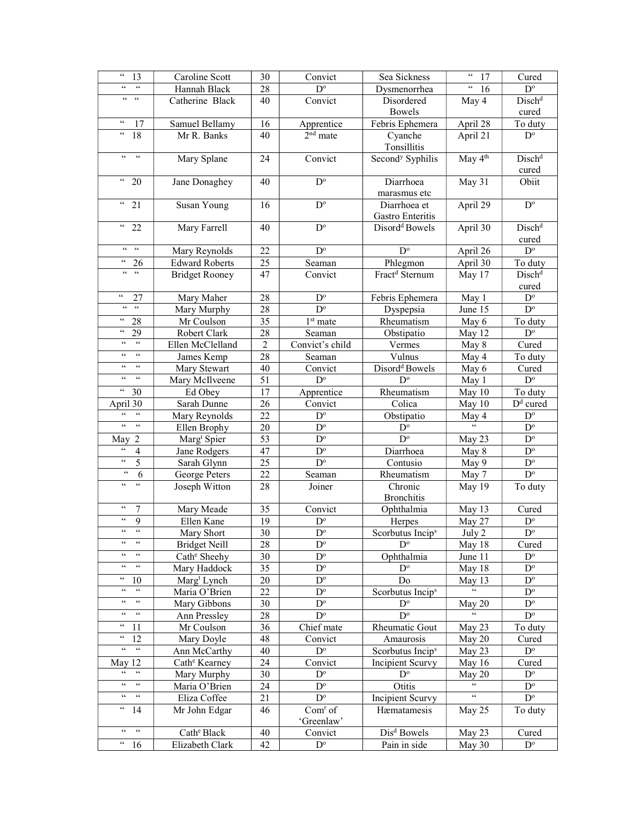| $\epsilon\epsilon$<br>13                                             | Caroline Scott            | 30              | Convict                 | Sea Sickness                     | $\mathsf{6}\,\mathsf{6}$<br>17  | Cured                       |
|----------------------------------------------------------------------|---------------------------|-----------------|-------------------------|----------------------------------|---------------------------------|-----------------------------|
| $\zeta\,\zeta$<br>$\zeta$ $\zeta$                                    | Hannah Black              | 28              | $D^{\circ}$             | Dysmenorrhea                     | $\zeta\,\zeta$<br>16            | $\mathbf{D}^{\text{o}}$     |
| $66 - 66$                                                            | Catherine Black           | 40              | Convict                 | Disordered                       | May 4                           | Dischd                      |
|                                                                      |                           |                 |                         | Bowels                           |                                 | cured                       |
| $\zeta\,\zeta$<br>17                                                 | Samuel Bellamy            | 16              | Apprentice              | Febris Ephemera                  | April 28                        | To duty                     |
| $\mathfrak{c}\,\mathfrak{c}$<br>18                                   | Mr R. Banks               | 40              | 2 <sup>nd</sup> mate    | Cyanche<br>Tonsillitis           | April 21                        | $D^{\circ}$                 |
| $\zeta\,\zeta$<br>$\zeta\,\zeta$                                     | Mary Splane               | 24              | Convict                 | Second <sup>y</sup> Syphilis     | May 4 <sup>th</sup>             | Disch <sup>d</sup><br>cured |
| $\epsilon\epsilon$<br>20                                             | Jane Donaghey             | 40              | $D^{\circ}$             | Diarrhoea<br>marasmus etc        | May 31                          | Obiit                       |
| $\epsilon\epsilon$<br>21                                             | Susan Young               | 16              | $D^{\circ}$             | Diarrhoea et<br>Gastro Enteritis | April 29                        | $\mathbf{D}^{\text{o}}$     |
| $\epsilon\epsilon$<br>22                                             | Mary Farrell              | 40              | $\mathbf{D}^{\text{o}}$ | Disord <sup>d</sup> Bowels       | April 30                        | Disch <sup>d</sup><br>cured |
| $66\pm66$                                                            | Mary Reynolds             | 22              | $\mathbf{D}^{\text{o}}$ | $D^{\circ}$                      | April 26                        | $D^{\circ}$                 |
| $\zeta \, \zeta$<br>26                                               | <b>Edward Roberts</b>     | 25              | Seaman                  | Phlegmon                         | April 30                        | To duty                     |
| $66 - 66$                                                            | <b>Bridget Rooney</b>     | 47              | Convict                 | Fract <sup>d</sup> Sternum       | May 17                          | Disch <sup>d</sup><br>cured |
| $\mathcal{C}\mathcal{C}$<br>27                                       | Mary Maher                | 28              | $\mathbf{D}^{\text{o}}$ | Febris Ephemera                  | May 1                           | $\mathbf{D}^{\text{o}}$     |
| $\zeta\,\zeta$<br>$\zeta\,\zeta$                                     | Mary Murphy               | 28              | $\mathbf{D}^{\text{o}}$ | Dyspepsia                        | June 15                         | $\mathbf{D}^{\text{o}}$     |
| $\epsilon\epsilon$<br>28                                             | Mr Coulson                | 35              | 1 <sup>st</sup> mate    | Rheumatism                       | May 6                           | To duty                     |
| $\epsilon\epsilon$<br>29                                             | Robert Clark              | 28              | Seaman                  | Obstipatio                       | May 12                          | $\mathbf{D}^{\text{o}}$     |
| $\zeta\,\zeta$<br>$\zeta\,\zeta$                                     | Ellen McClelland          | $\overline{2}$  | Convict's child         | Vermes                           | May 8                           | Cured                       |
| $\zeta \, \zeta$<br>$\zeta\,\zeta$                                   | James Kemp                | 28              | Seaman                  | Vulnus                           | May 4                           | To duty                     |
| $\zeta\,\zeta$<br>$\zeta\,\zeta$                                     | Mary Stewart              | 40              | Convict                 | Disord <sup>d</sup> Bowels       | May 6                           | Cured                       |
| $\mathsf{c}\,\mathsf{c}$<br>$\zeta\,\zeta$                           | Mary McIlveene            | 51              | $D^{\circ}$             | $D^{\circ}$                      | May 1                           | $\mathbf{D}^{\text{o}}$     |
| $\boldsymbol{\varsigma} \, \boldsymbol{\varsigma}$<br>30             | Ed Obey                   | 17              | Apprentice              | Rheumatism                       | May 10                          | To duty                     |
| April 30                                                             | Sarah Dunne               | 26              | Convict                 | Colica                           | May 10                          | $\overline{D}^d$ cured      |
| $\zeta\,\zeta$<br>$\zeta\,\zeta$                                     | Mary Reynolds             | 22              | $\mathbf{D}^{\text{o}}$ | Obstipatio                       | $\frac{\text{May }4}{\text{c}}$ | $\mathbf{D}^{\text{o}}$     |
| $\zeta\,\zeta$<br>$\zeta\,\zeta$                                     | Ellen Brophy              | 20              | $D^{\circ}$             | $D^{\circ}$                      |                                 | $\mathbf{D}^{\text{o}}$     |
| $\overline{2}$<br>May                                                | Marg <sup>t</sup> Spier   | 53              | $\mathbf{D}^{\text{o}}$ | $D^{\circ}$                      | May 23                          | $\mathbf{D}^{\text{o}}$     |
| $\zeta\,\zeta$<br>$\overline{4}$                                     | Jane Rodgers              | 47              | $\mathbf{D}^{\text{o}}$ | Diarrhoea                        | May 8                           | $\mathbf{D}^{\text{o}}$     |
| $\epsilon\,\epsilon$<br>5                                            | Sarah Glynn               | 25              | $\mathbf{D}^{\text{o}}$ | Contusio                         | May 9                           | $\mathbf{D}^{\text{o}}$     |
| $\zeta\,\zeta$<br>6                                                  | George Peters             | 22              | Seaman                  | Rheumatism                       | May 7                           | $\mathbf{D}^{\text{o}}$     |
| $\zeta\,\zeta$<br>$\zeta \, \zeta$                                   | Joseph Witton             | 28              | Joiner                  | Chronic<br><b>Bronchitis</b>     | May 19                          | To duty                     |
| $\zeta\,\zeta$<br>7                                                  | Mary Meade                | 35              | Convict                 | Ophthalmia                       | May 13                          | Cured                       |
| $\epsilon\,\epsilon$<br>9                                            | Ellen Kane                | 19              | $D^{\circ}$             | Herpes                           | May 27                          | $D^{\circ}$                 |
| $\boldsymbol{\varsigma} \, \boldsymbol{\varsigma}$<br>$\zeta\,\zeta$ | Mary Short                | $\overline{30}$ | $\mathbf{D}^{\text{o}}$ | Scorbutus Incip <sup>s</sup>     | July 2                          | $\overline{D^{\circ}}$      |
| $\epsilon\,\epsilon$<br>$\mathsf{c}\,\mathsf{c}$                     | <b>Bridget Neill</b>      | 28              | $D^{\circ}$             | $\mathbf{D}^{\text{o}}$          | May 18                          | Cured                       |
| $\zeta\,\zeta$<br>$\boldsymbol{\zeta} \, \boldsymbol{\zeta}$         | Cath <sup>e</sup> Sheehy  | 30              | $D^{\circ}$             | Ophthalmia                       | June 11                         | $D^{\circ}$                 |
| $\zeta\,\zeta$<br>$\zeta \, \zeta$                                   | Mary Haddock              | 35              | $D^{\circ}$             | $D^{\circ}$                      | May 18                          | $D^{\circ}$                 |
| $\epsilon\, \epsilon$<br>10                                          | Marg <sup>t</sup> Lynch   | 20              | $D^{\circ}$             | Do                               | May 13                          | $D^{\circ}$                 |
| $\zeta\,\zeta$<br>$\zeta\,\zeta$                                     | Maria O'Brien             | 22              | $D^{\circ}$             | Scorbutus Incip <sup>s</sup>     |                                 | $D^{\circ}$                 |
| $\zeta\,\zeta$<br>$\zeta\,\zeta$                                     | Mary Gibbons              | 30              | $D^{\circ}$             | $D^{\circ}$                      | May 20                          | $D^{\circ}$                 |
| $\zeta\,\zeta$<br>$\zeta \, \zeta$                                   | Ann Pressley              | 28              | $D^{\circ}$             | $D^{\circ}$                      | $\zeta\,\zeta$                  | $D^{\circ}$                 |
| $\epsilon\epsilon$<br>11                                             | Mr Coulson                | 36              | Chief mate              | Rheumatic Gout                   | May 23                          | To duty                     |
| $\mathsf{c}\,\mathsf{c}$<br>12                                       | Mary Doyle                | 48              | Convict                 | Amaurosis                        | May 20                          | Cured                       |
| $\epsilon\epsilon$<br>$\epsilon\epsilon$                             | Ann McCarthy              | 40              | $D^{\circ}$             | Scorbutus Incip <sup>s</sup>     | May 23                          | $D^{\circ}$                 |
| May 12                                                               | Cath <sup>e</sup> Kearney | 24              | Convict                 | <b>Incipient Scurvy</b>          | May 16                          | Cured                       |
| $\mathsf{G}\mathsf{G}$<br>$\mathsf{c}\,\mathsf{c}$                   | Mary Murphy               | 30              | $D^{\circ}$             | $D^{\circ}$                      | May 20                          | $D^{\circ}$                 |
| $\epsilon\epsilon$<br>$\zeta\,\zeta$                                 | Maria O'Brien             | 24              | $D^{\circ}$             | Otitis                           |                                 | $D^{\circ}$                 |
| $\mathsf{G}\,\mathsf{G}$<br>$\epsilon\epsilon$                       | Eliza Coffee              | 21              | $D^{\circ}$             | Incipient Scurvy                 | $\zeta\,\zeta$                  | $D^{\circ}$                 |
| $\epsilon\epsilon$<br>14                                             | Mr John Edgar             | 46              | $Comr$ of<br>'Greenlaw' | Hæmatamesis                      | May 25                          | To duty                     |
| $\zeta\,\zeta$<br>$\zeta\,\zeta$                                     | Cath <sup>e</sup> Black   | 40              | Convict                 | Dis <sup>d</sup> Bowels          | May 23                          | Cured                       |
| $\boldsymbol{\varsigma}$ $\boldsymbol{\varsigma}$<br>16              | Elizabeth Clark           | 42              | $D^{\circ}$             | Pain in side                     | May 30                          | $D^{\circ}$                 |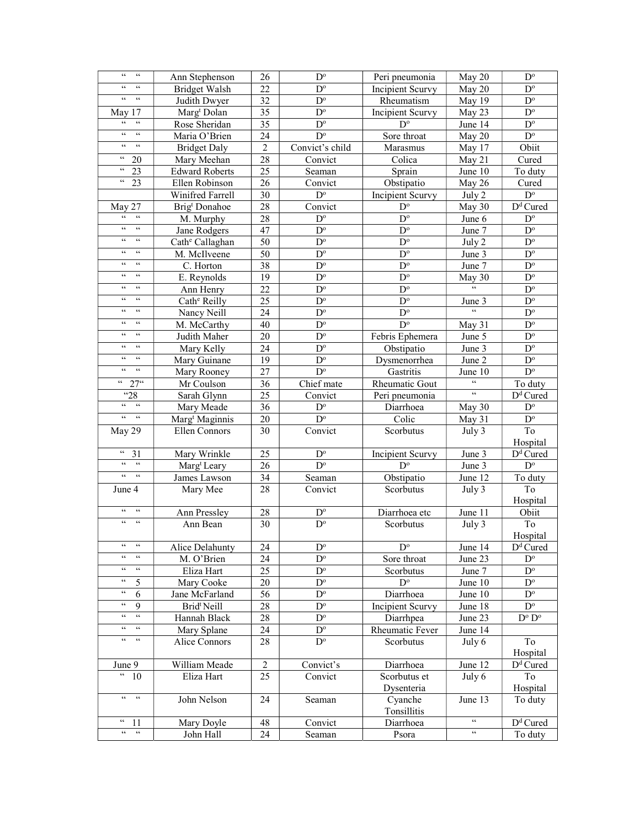| $\epsilon\,\epsilon$<br>$\epsilon\epsilon$                               | Ann Stephenson              | 26             | $D^{\circ}$             | Peri pneumonia          | May 20                    | $D^{\circ}$             |
|--------------------------------------------------------------------------|-----------------------------|----------------|-------------------------|-------------------------|---------------------------|-------------------------|
| $\zeta\,\zeta$<br>$\zeta\,\zeta$                                         | <b>Bridget Walsh</b>        | 22             | $D^{\circ}$             | Incipient Scurvy        | May 20                    | $D^{\circ}$             |
| $\zeta\,\zeta$<br>$\epsilon\epsilon$                                     | Judith Dwyer                | 32             | $D^{\circ}$             | Rheumatism              | May 19                    | $D^{\circ}$             |
| May 17                                                                   | Marg <sup>t</sup> Dolan     | 35             | $\mathbf{D}^{\text{o}}$ | Incipient Scurvy        | May 23                    | $D^{\circ}$             |
| $\boldsymbol{\varsigma}$ $\boldsymbol{\varsigma}$<br>$\zeta\,\zeta$      | Rose Sheridan               | 35             | $D^{\circ}$             | $D^{\circ}$             | June 14                   | $D^{\circ}$             |
| $\zeta\,\zeta$<br>$\zeta\,\zeta$                                         | Maria O'Brien               | 24             | $D^{\rm o}$             | Sore throat             | May 20                    | $\mathbf{D}^{\text{o}}$ |
| $\zeta \, \zeta$<br>$\zeta\,\zeta$                                       | <b>Bridget Daly</b>         | $\overline{2}$ | Convict's child         | Marasmus                | May 17                    | Obiit                   |
| $\zeta\,\zeta$<br>20                                                     | Mary Meehan                 | 28             | Convict                 | Colica                  | May 21                    | Cured                   |
| $\boldsymbol{\varsigma} \, \boldsymbol{\varsigma}$<br>23                 | <b>Edward Roberts</b>       | 25             | Seaman                  | Sprain                  | June 10                   | To duty                 |
| $\epsilon\, \epsilon$<br>23                                              | Ellen Robinson              | 26             | Convict                 | Obstipatio              | May 26                    | Cured                   |
|                                                                          | Winifred Farrell            | 30             | $D^{\rm o}$             | Incipient Scurvy        | July 2                    | $D^{\circ}$             |
| May 27                                                                   | Brig <sup>t</sup> Donahoe   | 28             | Convict                 | $D^{\circ}$             | May 30                    | D <sup>d</sup> Cured    |
| $\zeta\,\zeta$<br>$\zeta\,\zeta$                                         | M. Murphy                   | 28             | $D^{\circ}$             | $D^{\circ}$             | June 6                    | $\mathbf{D}^{\text{o}}$ |
| $\zeta\,\zeta$<br>$\zeta\,\zeta$                                         | Jane Rodgers                | 47             | $D^{\circ}$             | $\mathbf{D}^{\text{o}}$ | June 7                    | $\mathbf{D}^{\text{o}}$ |
| $\ensuremath{\mathsf{G}}\ensuremath{\mathsf{G}}$<br>$\zeta\,\zeta$       | Cath <sup>e</sup> Callaghan | 50             | $D^{\circ}$             | $D^{\circ}$             | July 2                    | $\mathbf{D}^{\text{o}}$ |
| $\epsilon\epsilon$<br>66                                                 | M. McIlveene                | 50             | $D^{\circ}$             | $D^{\circ}$             | June 3                    | $D^{\circ}$             |
| $\epsilon\epsilon$<br>66                                                 | C. Horton                   | 38             | $D^{\circ}$             | $D^{\circ}$             | June 7                    | $D^{\circ}$             |
| $\zeta\,\zeta$<br>$\zeta\,\zeta$                                         | E. Reynolds                 | 19             | $D^{\circ}$             | $D^{\circ}$             | May 30                    | $D^{\circ}$             |
| $\zeta\,\zeta$<br>$\zeta\,\zeta$                                         | Ann Henry                   | 22             | $D^{\circ}$             | $\mathbf{D}^{\text{o}}$ |                           | $\mathbf{D}^{\text{o}}$ |
| $\zeta\,\zeta$<br>$\zeta\,\zeta$                                         | Cath <sup>e</sup> Reilly    | 25             | $D^{\circ}$             | $D^{\circ}$             | June 3                    | $D^{\circ}$             |
| $\zeta \, \zeta$<br>$\zeta\,\zeta$                                       | Nancy Neill                 | 24             | $D^{\circ}$             | $D^{\circ}$             | $\overline{\mathcal{L}}$  | $\mathbf{D}^{\text{o}}$ |
| $\zeta\,\zeta$<br>$\zeta\,\zeta$                                         | M. McCarthy                 | 40             | $D^{\circ}$             | $D^{\circ}$             | May 31                    | $\mathbf{D}^{\text{o}}$ |
| $\zeta \, \zeta$<br>$\zeta\,\zeta$                                       | Judith Maher                | 20             | $D^{\circ}$             | Febris Ephemera         | June 5                    | $\mathbf{D}^{\text{o}}$ |
| $\zeta\,\zeta$<br>$\epsilon\epsilon$                                     | Mary Kelly                  | 24             | $D^{\circ}$             | Obstipatio              | June 3                    | $\mathbf{D}^{\text{o}}$ |
| $\boldsymbol{\varsigma}$<br>$\zeta\,\zeta$                               | Mary Guinane                | 19             | $D^{\circ}$             | Dysmenorrhea            | June 2                    | $\mathbf{D}^{\text{o}}$ |
| $\epsilon\,\epsilon$<br>$\epsilon\epsilon$                               | Mary Rooney                 | 27             | $D^{\circ}$             | Gastritis               | June 10                   | $\mathbf{D}^{\text{o}}$ |
| $\frac{1}{27}$                                                           | Mr Coulson                  | 36             | Chief mate              | <b>Rheumatic Gout</b>   | $\zeta\,\zeta$            | To duty                 |
| $\overline{28}$                                                          | Sarah Glynn                 | 25             | Convict                 | Peri pneumonia          | $\overline{\mathfrak{c}}$ | D <sup>d</sup> Cured    |
| $66 -$<br>$\overline{\mathfrak{c}}$                                      | Mary Meade                  | 36             | $D^{\circ}$             | Diarrhoea               | May 30                    | $\mathbf{D}^{\text{o}}$ |
| $\epsilon\epsilon$<br>$-66$                                              | Marg <sup>t</sup> Maginnis  | 20             | $D^{\circ}$             | Colic                   | May 31                    | $D^{\circ}$             |
| May 29                                                                   | Ellen Connors               | 30             | Convict                 | Scorbutus               | July 3                    | To                      |
|                                                                          |                             |                |                         |                         |                           | Hospital                |
| $\epsilon\epsilon$<br>31                                                 | Mary Wrinkle                | 25             | $D^{\circ}$             | Incipient Scurvy        | June 3                    | D <sup>d</sup> Cured    |
| $\zeta\,\zeta$<br>$\zeta\,\zeta$                                         | Marg <sup>t</sup> Leary     | 26             | $\mathbf{D}^{\text{o}}$ | $D^{\circ}$             | June 3                    | $\mathbf{D}^{\text{o}}$ |
| $\zeta\,\zeta$<br>$\epsilon$                                             | James Lawson                | 34             | Seaman                  | Obstipatio              | June 12                   | To duty                 |
| June 4                                                                   | Mary Mee                    | 28             | Convict                 | Scorbutus               | July 3                    | To                      |
|                                                                          |                             |                |                         |                         |                           | Hospital                |
| $\zeta \, \zeta$<br>$\zeta\,\zeta$                                       | Ann Pressley                | 28             | $\mathbf{D}^{\text{o}}$ | Diarrhoea etc           | June 11                   | Obiit                   |
| $\zeta\,\zeta$<br>$\zeta\,\zeta$                                         | Ann Bean                    | 30             | $D^{\circ}$             | Scorbutus               | July 3                    | To                      |
|                                                                          |                             |                |                         |                         |                           | Hospital                |
| $\zeta\,\zeta$<br>$\zeta\,\zeta$                                         | Alice Delahunty             | 24             | $D^{\circ}$             | $D^{\circ}$             | June 14                   | $Dd$ Cured              |
| $\zeta \, \zeta$<br>$\zeta\,\zeta$                                       | M. O'Brien                  | 24             | $D^{\circ}$             | Sore throat             | June 23                   | $D^{\circ}$             |
| $\mathfrak{c}\mathfrak{c}$<br>$\zeta\,\zeta$                             | Eliza Hart                  | 25             | $D^{\circ}$             | Scorbutus               | June 7                    | $D^{\circ}$             |
| $\zeta\,\zeta$<br>5                                                      | Mary Cooke                  | 20             | $D^{\circ}$             | $D^{\circ}$             | June 10                   | $D^{\circ}$             |
| $\zeta\,\zeta$<br>6                                                      | Jane McFarland              | 56             | $D^{\circ}$             | Diarrhoea               | June 10                   | $D^{\circ}$             |
| $\zeta\,\zeta$<br>9                                                      | Brid <sup>t</sup> Neill     | 28             | $\mathbf{D}^{\text{o}}$ | Incipient Scurvy        | June 18                   | $\mathbf{D}^{\text{o}}$ |
| $\mathfrak{c}\mathfrak{c}$<br>$\boldsymbol{\zeta}\boldsymbol{\zeta}$     | Hannah Black                | 28             | $D^{\circ}$             | Diarrhpea               | June 23                   | $D^o\,D^o$              |
| $\mathfrak{c}\,\mathfrak{c}$<br>$\zeta\,\zeta$                           | Mary Splane                 | 24             | $D^{\circ}$             | Rheumatic Fever         | June 14                   |                         |
| $\zeta\,\zeta$<br>$\zeta\,\zeta$                                         | Alice Connors               | 28             | $D^{\circ}$             | Scorbutus               | July 6                    | To                      |
|                                                                          |                             |                |                         |                         |                           | Hospital                |
| June 9                                                                   | William Meade               | $\overline{2}$ | Convict's               | Diarrhoea               | June 12                   | D <sup>d</sup> Cured    |
| $\epsilon\epsilon$<br>10                                                 | Eliza Hart                  | 25             | Convict                 | Scorbutus et            | July 6                    | To                      |
|                                                                          |                             |                |                         | Dysenteria              |                           | Hospital                |
| $\zeta\,\zeta$<br>$\epsilon\epsilon$                                     | John Nelson                 | 24             | Seaman                  | Cyanche                 | June 13                   | To duty                 |
|                                                                          |                             |                |                         | Tonsillitis             |                           |                         |
| $\epsilon\,\epsilon$<br>11                                               | Mary Doyle                  | 48             | Convict                 | Diarrhoea               | $\zeta\,\zeta$            | $Dd$ Cured              |
| $\epsilon\epsilon$<br>$\boldsymbol{\varsigma} \, \boldsymbol{\varsigma}$ | John Hall                   | 24             | Seaman                  | Psora                   | $\zeta\,\zeta$            | To duty                 |
|                                                                          |                             |                |                         |                         |                           |                         |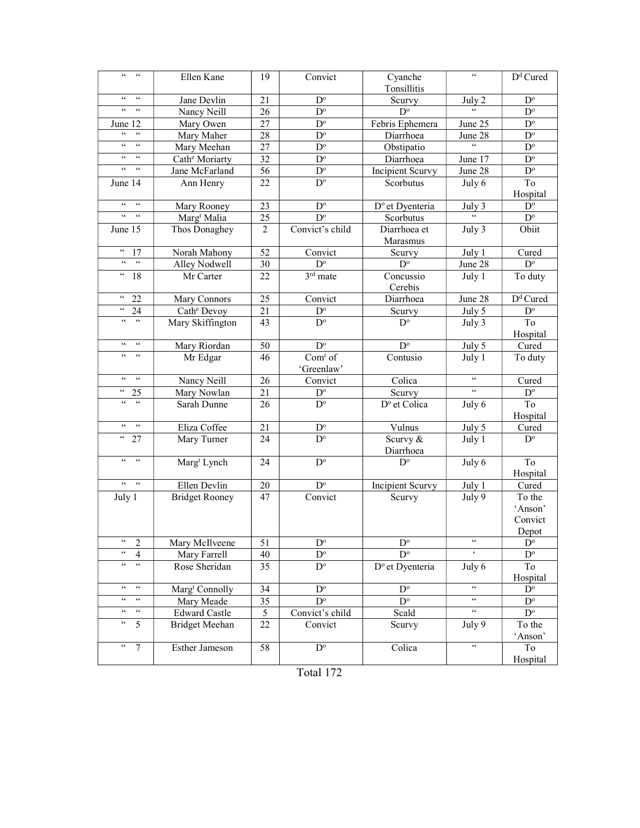| $\zeta\,\zeta$<br>$\epsilon\epsilon$           | Ellen Kane                 | 19             | Convict                                | Cyanche                     | $\zeta\,\zeta$                                    | $Dd$ Cured              |
|------------------------------------------------|----------------------------|----------------|----------------------------------------|-----------------------------|---------------------------------------------------|-------------------------|
|                                                |                            |                |                                        | Tonsillitis                 |                                                   |                         |
| $\zeta\,\zeta$<br>$\zeta\,\zeta$               | Jane Devlin                | 21             | $D^{\circ}$                            | Scurvy                      | July 2                                            | $\mathbf{D}^{\text{o}}$ |
| $\zeta\,\zeta$<br>$\zeta\,\zeta$               | Nancy Neill                | 26             | $D^{\circ}$                            | $D^{\circ}$                 | $\boldsymbol{\varsigma}$ $\boldsymbol{\varsigma}$ | $D^{\circ}$             |
| 12<br>June                                     | Mary Owen                  | 27             | $D^{\circ}$                            | Febris Ephemera             | June 25                                           | $\mathbf{D}^{\text{o}}$ |
| $\zeta\,\zeta$<br>$\zeta\,\zeta$               | Mary Maher                 | 28             | $D^{\circ}$                            | Diarrhoea                   | June 28                                           | $\mathbf{D}^{\text{o}}$ |
| $\mathsf{G}\,\mathsf{G}$<br>$\zeta\zeta$       | Mary Meehan                | 27             | $D^{\circ}$                            | Obstipatio                  | $\zeta$ $\zeta$                                   | $D^{\circ}$             |
| $\,$ $\,$ $\,$ $\,$<br>$\epsilon$              | Cath <sup>e</sup> Moriarty | 32             | $D^{\circ}$                            | Diarrhoea                   | June 17                                           | $\mathbf{D}^{\text{o}}$ |
| $\zeta\,\zeta$<br>$\zeta\,\zeta$               | Jane McFarland             | 56             | $D^{\circ}$                            | Incipient Scurvy            | June 28                                           | $D^{\circ}$             |
| June 14                                        | Ann Henry                  | 22             | $D^{\circ}$                            | Scorbutus                   | July 6                                            | To                      |
|                                                |                            |                |                                        |                             |                                                   | Hospital                |
| $\zeta\,\zeta$<br>$\epsilon\epsilon$           | Mary Rooney                | 23             | $D^{\circ}$                            | D <sup>o</sup> et Dyenteria | July 3                                            | $\mathbf{D}^{\text{o}}$ |
| $\zeta\,\zeta$<br>$\zeta\,\zeta$               | Marg <sup>t</sup> Malia    | 25             | $D^{\circ}$                            | Scorbutus                   |                                                   | $D^{\circ}$             |
| June 15                                        | Thos Donaghey              | $\overline{2}$ | Convict's child                        | Diarrhoea et                | July 3                                            | Obiit                   |
|                                                |                            |                |                                        | Marasmus                    |                                                   |                         |
| $\epsilon\epsilon$<br>17                       | Norah Mahony               | 52             | Convict                                | Scurvy                      | July 1                                            | Cured                   |
| $\zeta\,\zeta$<br>$\zeta\,\zeta$               | Alley Nodwell              | 30             | $\mathbf{D}^{\text{o}}$                | $D^{\circ}$                 | June 28                                           | $D^{\circ}$             |
| $\epsilon\epsilon$<br>18                       | Mr Carter                  | 22             | $3rd$ mate                             | Concussio                   | July 1                                            | To duty                 |
|                                                |                            |                |                                        | Cerebis                     |                                                   |                         |
| $\mathcal{C}\mathcal{C}$<br>22                 | Mary Connors               | 25             | Convict                                | Diarrhoea                   | June 28                                           | D <sup>d</sup> Cured    |
| $\epsilon\,\epsilon$<br>24                     | Cath <sup>e</sup> Devoy    | 21             | $D^{\rm o}$                            | Scurvy                      | July 5                                            | $D^{\circ}$             |
| $\zeta\,\zeta$<br>$\epsilon\epsilon$           | Mary Skiffington           | 43             | $D^{\circ}$                            | $D^{\circ}$                 | July 3                                            | To                      |
|                                                |                            |                |                                        |                             |                                                   | Hospital                |
| $\zeta\,\zeta$<br>$\zeta\,\zeta$               | Mary Riordan               | 50             | $\mathbf{D}^{\text{o}}$                | $\mathbf{D}^{\text{o}}$     | July 5                                            | Cured                   |
| $\zeta\,\zeta$<br>$\epsilon\epsilon$           | Mr Edgar                   | 46             | Com <sup>r</sup> of                    | Contusio                    | July 1                                            | To duty                 |
| $\zeta\,\zeta$<br>$\zeta\,\zeta$               |                            |                | 'Greenlaw'                             |                             | $\zeta\,\zeta$                                    |                         |
|                                                | Nancy Neill                | 26             | Convict                                | Colica                      | $\zeta\,\zeta$                                    | Cured                   |
| 66<br>25<br>$\zeta\zeta$<br>$\zeta\,\zeta$     | Mary Nowlan                | 21             | $D^{\circ}$                            | Scurvy                      |                                                   | $\mathbf{D}^{\text{o}}$ |
|                                                | Sarah Dunne                | 26             | $D^{\circ}$                            | D° et Colica                | July 6                                            | To                      |
| $\zeta\,\zeta$<br>$\zeta\,\zeta$               |                            |                |                                        |                             |                                                   | Hospital                |
| $\epsilon\epsilon$                             | Eliza Coffee               | 21             | $\mathbf{D}^{\text{o}}$<br>$D^{\circ}$ | Vulnus                      | July 5                                            | Cured<br>$D^{\circ}$    |
| 27                                             | Mary Turner                | 24             |                                        | Scurvy &<br>Diarrhoea       | July 1                                            |                         |
| $66 -$<br>$\epsilon\epsilon$                   | Marg <sup>t</sup> Lynch    | 24             | $D^{\circ}$                            | $D^{\circ}$                 | July 6                                            | To                      |
|                                                |                            |                |                                        |                             |                                                   | Hospital                |
| $\zeta\,\zeta$<br>$\zeta\,\zeta$               | Ellen Devlin               | 20             | $D^{\rm o}$                            | Incipient Scurvy            | July 1                                            | Cured                   |
| July 1                                         | <b>Bridget Rooney</b>      | 47             | Convict                                | Scurvy                      | July 9                                            | To the                  |
|                                                |                            |                |                                        |                             |                                                   | 'Anson'                 |
|                                                |                            |                |                                        |                             |                                                   | Convict                 |
|                                                |                            |                |                                        |                             |                                                   | Depot                   |
| $\mathfrak{c}\mathfrak{c}$<br>2                | Mary McIlveene             | 51             | $D^{\rm o}$                            | $\overline{D^o}$            | $\epsilon\epsilon$                                | $\mathbf{D}^{\text{o}}$ |
| $\zeta\,\zeta$<br>4                            | Mary Farrell               | 40             | $D^{\circ}$                            | $D^{\circ}$                 | $\pmb{\zeta}$                                     | $D^{\circ}$             |
| $\zeta \, \zeta$<br>$\mathfrak{c}\mathfrak{c}$ | Rose Sheridan              | 35             | $D^{\circ}$                            | D <sup>o</sup> et Dyenteria | July 6                                            | To                      |
|                                                |                            |                |                                        |                             |                                                   | Hospital                |
| $\epsilon\epsilon$<br>$\textsf{G}\,\textsf{G}$ | Marg <sup>t</sup> Connolly | 34             | $D^{\circ}$                            | $D^{\circ}$                 | $\zeta\,\zeta$                                    | $\mathbf{D}^{\text{o}}$ |
| $\epsilon\epsilon$<br>$\epsilon\epsilon$       | Mary Meade                 | 35             | $D^{\circ}$                            | $\overline{D^{\circ}}$      | $\mathfrak{c}\,\mathfrak{c}$                      | $D^{\circ}$             |
| $\mathfrak{c}\mathfrak{c}$<br>$\zeta\,\zeta$   | <b>Edward Castle</b>       | 5              | Convict's child                        | Scald                       | $\zeta\,\zeta$                                    | $\mathbf{D}^{\text{o}}$ |
| $\mathfrak{c}\mathfrak{c}$<br>5                | <b>Bridget Meehan</b>      | 22             | Convict                                | Scurvy                      | July 9                                            | To the                  |
|                                                |                            |                |                                        |                             |                                                   | 'Anson'                 |
| $\mathfrak{c}\mathfrak{c}$<br>$\tau$           | Esther Jameson             | 58             | $\mathbf{D}^{\text{o}}$                | Colica                      | $\boldsymbol{\varsigma}$ $\boldsymbol{\varsigma}$ | To                      |
|                                                |                            |                |                                        |                             |                                                   | Hospital                |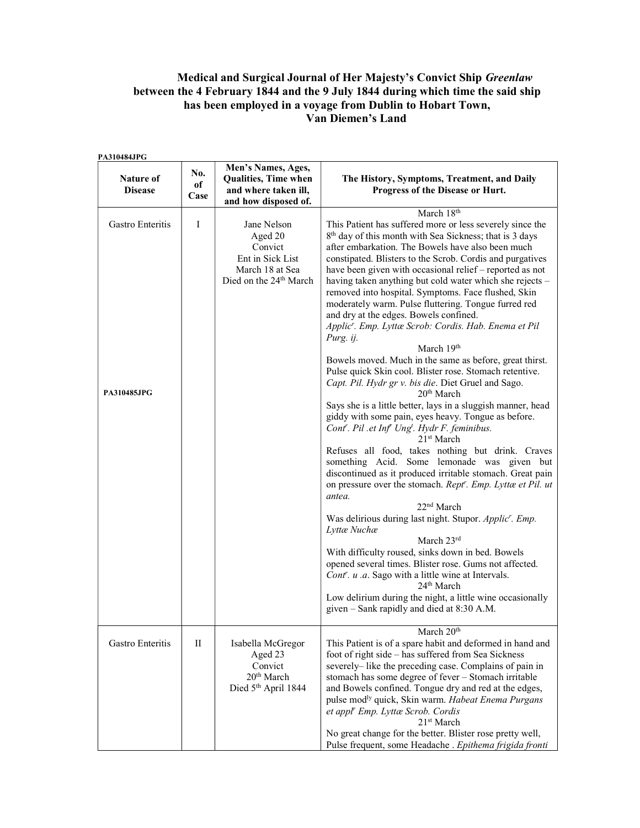## Medical and Surgical Journal of Her Majesty's Convict Ship Greenlaw between the 4 February 1844 and the 9 July 1844 during which time the said ship has been employed in a voyage from Dublin to Hobart Town, Van Diemen's Land

| PA310484JPG                     |                        |                                                                                                                |                                                                                                                                                                                                                                                                                                                                                                                                                                                                                                                                                                                                                                                                                                                                                                                                                                                                                                                                                                                                                                                                                                                                                                                                                                                                                                                                                                                                                                                                                                                                                                                                                                                                                                                    |
|---------------------------------|------------------------|----------------------------------------------------------------------------------------------------------------|--------------------------------------------------------------------------------------------------------------------------------------------------------------------------------------------------------------------------------------------------------------------------------------------------------------------------------------------------------------------------------------------------------------------------------------------------------------------------------------------------------------------------------------------------------------------------------------------------------------------------------------------------------------------------------------------------------------------------------------------------------------------------------------------------------------------------------------------------------------------------------------------------------------------------------------------------------------------------------------------------------------------------------------------------------------------------------------------------------------------------------------------------------------------------------------------------------------------------------------------------------------------------------------------------------------------------------------------------------------------------------------------------------------------------------------------------------------------------------------------------------------------------------------------------------------------------------------------------------------------------------------------------------------------------------------------------------------------|
| Nature of<br><b>Disease</b>     | No.<br>of<br>Case      | Men's Names, Ages,<br><b>Qualities, Time when</b><br>and where taken ill,<br>and how disposed of.              | The History, Symptoms, Treatment, and Daily<br>Progress of the Disease or Hurt.                                                                                                                                                                                                                                                                                                                                                                                                                                                                                                                                                                                                                                                                                                                                                                                                                                                                                                                                                                                                                                                                                                                                                                                                                                                                                                                                                                                                                                                                                                                                                                                                                                    |
|                                 |                        |                                                                                                                | March 18th                                                                                                                                                                                                                                                                                                                                                                                                                                                                                                                                                                                                                                                                                                                                                                                                                                                                                                                                                                                                                                                                                                                                                                                                                                                                                                                                                                                                                                                                                                                                                                                                                                                                                                         |
| Gastro Enteritis<br>PA310485JPG | $\mathbf I$            | Jane Nelson<br>Aged 20<br>Convict<br>Ent in Sick List<br>March 18 at Sea<br>Died on the 24 <sup>th</sup> March | This Patient has suffered more or less severely since the<br>8 <sup>th</sup> day of this month with Sea Sickness; that is 3 days<br>after embarkation. The Bowels have also been much<br>constipated. Blisters to the Scrob. Cordis and purgatives<br>have been given with occasional relief – reported as not<br>having taken anything but cold water which she rejects -<br>removed into hospital. Symptoms. Face flushed, Skin<br>moderately warm. Pulse fluttering. Tongue furred red<br>and dry at the edges. Bowels confined.<br>Applic'. Emp. Lyttæ Scrob: Cordis. Hab. Enema et Pil<br>Purg. ij.<br>March $19th$<br>Bowels moved. Much in the same as before, great thirst.<br>Pulse quick Skin cool. Blister rose. Stomach retentive.<br>Capt. Pil. Hydr gr v. bis die. Diet Gruel and Sago.<br>20 <sup>th</sup> March<br>Says she is a little better, lays in a sluggish manner, head<br>giddy with some pain, eyes heavy. Tongue as before.<br>Cont'. Pil .et Inf' Ung'. Hydr F. feminibus.<br>21 <sup>st</sup> March<br>Refuses all food, takes nothing but drink. Craves<br>something Acid. Some lemonade was given but<br>discontinued as it produced irritable stomach. Great pain<br>on pressure over the stomach. Rept''. Emp. Lyttæ et Pil. ut<br>antea.<br>22 <sup>nd</sup> March<br>Was delirious during last night. Stupor. Applic'. Emp.<br>Lyttæ Nuchæ<br>March 23rd<br>With difficulty roused, sinks down in bed. Bowels<br>opened several times. Blister rose. Gums not affected.<br>Cont <sup>r</sup> . u .a. Sago with a little wine at Intervals.<br>24 <sup>th</sup> March<br>Low delirium during the night, a little wine occasionally<br>given - Sank rapidly and died at 8:30 A.M. |
| Gastro Enteritis                | $\mathop{\mathrm{II}}$ | Isabella McGregor<br>Aged 23<br>Convict<br>20 <sup>th</sup> March<br>Died 5th April 1844                       | March 20 <sup>th</sup><br>This Patient is of a spare habit and deformed in hand and<br>foot of right side - has suffered from Sea Sickness<br>severely-like the preceding case. Complains of pain in<br>stomach has some degree of fever - Stomach irritable<br>and Bowels confined. Tongue dry and red at the edges,<br>pulse mod <sup>ly</sup> quick, Skin warm. Habeat Enema Purgans<br>et appl' Emp. Lyttæ Scrob. Cordis<br>21 <sup>st</sup> March<br>No great change for the better. Blister rose pretty well,<br>Pulse frequent, some Headache . Epithema frigida fronti                                                                                                                                                                                                                                                                                                                                                                                                                                                                                                                                                                                                                                                                                                                                                                                                                                                                                                                                                                                                                                                                                                                                     |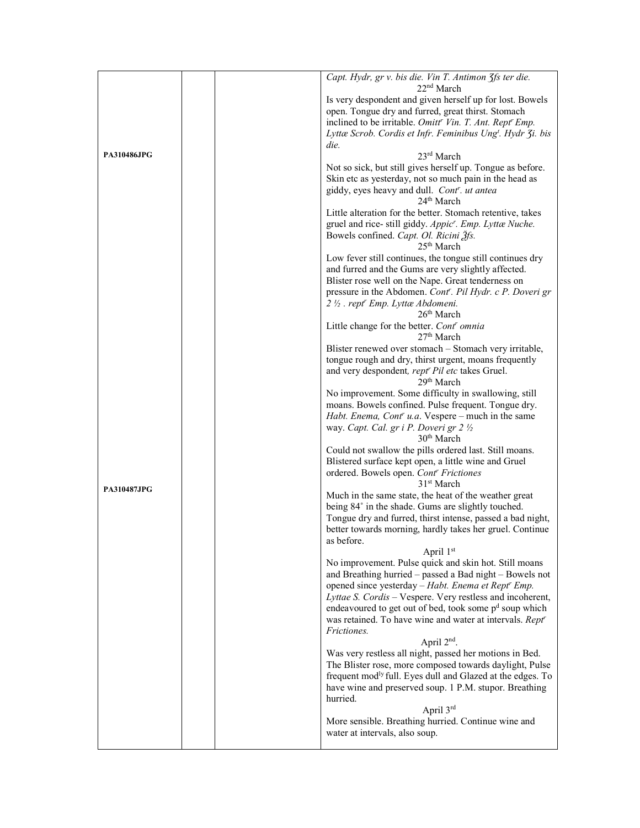|                    | Capt. Hydr, gr v. bis die. Vin T. Antimon 3fs ter die.                           |
|--------------------|----------------------------------------------------------------------------------|
|                    | 22 <sup>nd</sup> March                                                           |
|                    | Is very despondent and given herself up for lost. Bowels                         |
|                    | open. Tongue dry and furred, great thirst. Stomach                               |
|                    | inclined to be irritable. Omitt <sup>r</sup> Vin. T. Ant. Rept <sup>r</sup> Emp. |
|                    | Lyttæ Scrob. Cordis et Infr. Feminibus Ung <sup>t</sup> . Hydr 3i. bis           |
|                    | die.                                                                             |
| <b>PA310486JPG</b> | 23rd March                                                                       |
|                    | Not so sick, but still gives herself up. Tongue as before.                       |
|                    | Skin etc as yesterday, not so much pain in the head as                           |
|                    | giddy, eyes heavy and dull. Cont'. ut antea                                      |
|                    | 24 <sup>th</sup> March                                                           |
|                    | Little alteration for the better. Stomach retentive, takes                       |
|                    |                                                                                  |
|                    | gruel and rice-still giddy. Appic'. Emp. Lyttæ Nuche.                            |
|                    | Bowels confined. Capt. Ol. Ricini 3fs.<br>25 <sup>th</sup> March                 |
|                    |                                                                                  |
|                    | Low fever still continues, the tongue still continues dry                        |
|                    | and furred and the Gums are very slightly affected.                              |
|                    | Blister rose well on the Nape. Great tenderness on                               |
|                    | pressure in the Abdomen. Cont'. Pil Hydr. c P. Doveri gr                         |
|                    | 2 1/2 . rept <sup>r</sup> Emp. Lyttæ Abdomeni.                                   |
|                    | 26 <sup>th</sup> March                                                           |
|                    | Little change for the better. Cont' omnia                                        |
|                    | 27 <sup>th</sup> March                                                           |
|                    | Blister renewed over stomach – Stomach very irritable,                           |
|                    | tongue rough and dry, thirst urgent, moans frequently                            |
|                    | and very despondent, rept" Pil etc takes Gruel.                                  |
|                    | 29 <sup>th</sup> March                                                           |
|                    | No improvement. Some difficulty in swallowing, still                             |
|                    | moans. Bowels confined. Pulse frequent. Tongue dry.                              |
|                    |                                                                                  |
|                    | Habt. Enema, Cont' u.a. Vespere – much in the same                               |
|                    | way. Capt. Cal. gr i P. Doveri gr 2 1/2                                          |
|                    | 30 <sup>th</sup> March                                                           |
|                    | Could not swallow the pills ordered last. Still moans.                           |
|                    | Blistered surface kept open, a little wine and Gruel                             |
|                    | ordered. Bowels open. Cont <sup>r</sup> Frictiones                               |
| <b>PA310487JPG</b> | 31 <sup>st</sup> March                                                           |
|                    | Much in the same state, the heat of the weather great                            |
|                    | being 84° in the shade. Gums are slightly touched.                               |
|                    | Tongue dry and furred, thirst intense, passed a bad night,                       |
|                    | better towards morning, hardly takes her gruel. Continue                         |
|                    | as before.                                                                       |
|                    | April 1st                                                                        |
|                    | No improvement. Pulse quick and skin hot. Still moans                            |
|                    | and Breathing hurried - passed a Bad night - Bowels not                          |
|                    | opened since yesterday - Habt. Enema et Rept' Emp.                               |
|                    | Lyttae S. Cordis - Vespere. Very restless and incoherent,                        |
|                    | endeavoured to get out of bed, took some p <sup>d</sup> soup which               |
|                    | was retained. To have wine and water at intervals. Rept <sup>r</sup>             |
|                    | <i>Frictiones.</i>                                                               |
|                    | April 2 <sup>nd</sup> .                                                          |
|                    |                                                                                  |
|                    | Was very restless all night, passed her motions in Bed.                          |
|                    | The Blister rose, more composed towards daylight, Pulse                          |
|                    | frequent mod <sup>ly</sup> full. Eyes dull and Glazed at the edges. To           |
|                    | have wine and preserved soup. 1 P.M. stupor. Breathing                           |
|                    | hurried.                                                                         |
|                    | April 3rd                                                                        |
|                    | More sensible. Breathing hurried. Continue wine and                              |
|                    | water at intervals, also soup.                                                   |
|                    |                                                                                  |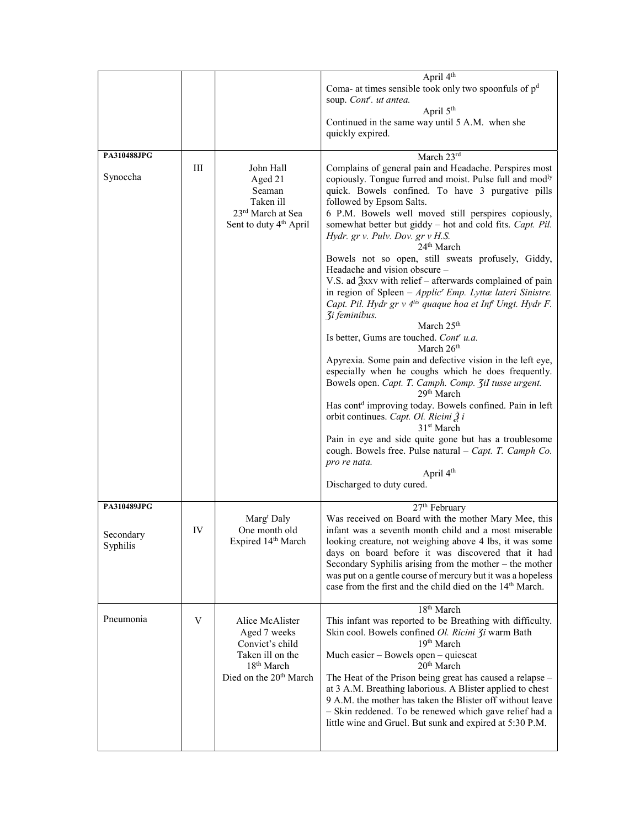|                                      |     |                                                                                                                                        | April 4 <sup>th</sup><br>Coma- at times sensible took only two spoonfuls of $pd$<br>soup. Cont <sup>r</sup> . ut antea.<br>April 5 <sup>th</sup><br>Continued in the same way until 5 A.M. when she<br>quickly expired.                                                                                                                                                                                                                                                                                                                                                                                                                                                                                                                                                                                                                                                                                                                                                                                                                                                                                                                                                                                                                                                                                                                                                                                   |
|--------------------------------------|-----|----------------------------------------------------------------------------------------------------------------------------------------|-----------------------------------------------------------------------------------------------------------------------------------------------------------------------------------------------------------------------------------------------------------------------------------------------------------------------------------------------------------------------------------------------------------------------------------------------------------------------------------------------------------------------------------------------------------------------------------------------------------------------------------------------------------------------------------------------------------------------------------------------------------------------------------------------------------------------------------------------------------------------------------------------------------------------------------------------------------------------------------------------------------------------------------------------------------------------------------------------------------------------------------------------------------------------------------------------------------------------------------------------------------------------------------------------------------------------------------------------------------------------------------------------------------|
| PA310488JPG<br>Synoccha              | III | John Hall<br>Aged 21<br>Seaman<br>Taken ill<br>23rd March at Sea<br>Sent to duty 4 <sup>th</sup> April                                 | March 23rd<br>Complains of general pain and Headache. Perspires most<br>copiously. Tongue furred and moist. Pulse full and mod <sup>ly</sup><br>quick. Bowels confined. To have 3 purgative pills<br>followed by Epsom Salts.<br>6 P.M. Bowels well moved still perspires copiously,<br>somewhat better but giddy - hot and cold fits. Capt. Pil.<br>Hydr. gr v. Pulv. Dov. gr v H.S.<br>$24th$ March<br>Bowels not so open, still sweats profusely, Giddy,<br>Headache and vision obscure –<br>V.S. ad $\frac{3}{2}$ xxv with relief – afterwards complained of pain<br>in region of Spleen $-Applic' Emp$ . Lyttæ lateri Sinistre.<br>Capt. Pil. Hydr gr v 4 <sup>tis</sup> quaque hoa et Inf <sup>t</sup> Ungt. Hydr F.<br><b><i><u>3i</u></i></b> feminibus.<br>March 25 <sup>th</sup><br>Is better, Gums are touched. Cont' u.a.<br>March $26th$<br>Apyrexia. Some pain and defective vision in the left eye,<br>especially when he coughs which he does frequently.<br>Bowels open. Capt. T. Camph. Comp. 3il tusse urgent.<br>29 <sup>th</sup> March<br>Has cont <sup>d</sup> improving today. Bowels confined. Pain in left<br>orbit continues. Capt. Ol. Ricini $\tilde{Z}$ i<br>31 <sup>st</sup> March<br>Pain in eye and side quite gone but has a troublesome<br>cough. Bowels free. Pulse natural - Capt. T. Camph Co.<br>pro re nata.<br>April 4 <sup>th</sup><br>Discharged to duty cured. |
| PA310489JPG<br>Secondary<br>Syphilis | IV  | Marg <sup>t</sup> Daly<br>One month old<br>Expired 14th March                                                                          | 27 <sup>th</sup> February<br>Was received on Board with the mother Mary Mee, this<br>infant was a seventh month child and a most miserable<br>looking creature, not weighing above 4 lbs, it was some<br>days on board before it was discovered that it had<br>Secondary Syphilis arising from the mother $-$ the mother<br>was put on a gentle course of mercury but it was a hopeless<br>case from the first and the child died on the 14 <sup>th</sup> March.                                                                                                                                                                                                                                                                                                                                                                                                                                                                                                                                                                                                                                                                                                                                                                                                                                                                                                                                          |
| Pneumonia                            | V   | Alice McAlister<br>Aged 7 weeks<br>Convict's child<br>Taken ill on the<br>18 <sup>th</sup> March<br>Died on the 20 <sup>th</sup> March | 18 <sup>th</sup> March<br>This infant was reported to be Breathing with difficulty.<br>Skin cool. Bowels confined Ol. Ricini 3i warm Bath<br>19th March<br>Much easier – Bowels open – quiescat<br>20 <sup>th</sup> March<br>The Heat of the Prison being great has caused a relapse -<br>at 3 A.M. Breathing laborious. A Blister applied to chest<br>9 A.M. the mother has taken the Blister off without leave<br>- Skin reddened. To be renewed which gave relief had a<br>little wine and Gruel. But sunk and expired at 5:30 P.M.                                                                                                                                                                                                                                                                                                                                                                                                                                                                                                                                                                                                                                                                                                                                                                                                                                                                    |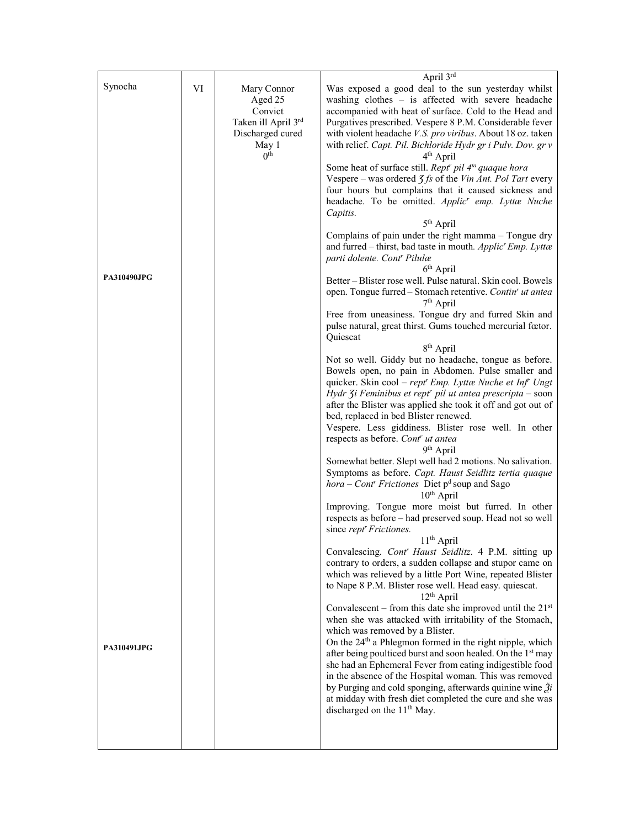|                    |    |                          | April 3rd                                                                                                                 |
|--------------------|----|--------------------------|---------------------------------------------------------------------------------------------------------------------------|
| Synocha            | VI | Mary Connor              | Was exposed a good deal to the sun yesterday whilst                                                                       |
|                    |    | Aged 25                  | washing $clothes - is affected with severe headache$                                                                      |
|                    |    | Convict                  | accompanied with heat of surface. Cold to the Head and                                                                    |
|                    |    | Taken ill April 3rd      | Purgatives prescribed. Vespere 8 P.M. Considerable fever                                                                  |
|                    |    | Discharged cured         | with violent headache V.S. pro viribus. About 18 oz. taken                                                                |
|                    |    | May 1<br>0 <sup>th</sup> | with relief. Capt. Pil. Bichloride Hydr gr i Pulv. Dov. gr v<br>4 <sup>th</sup> April                                     |
|                    |    |                          | Some heat of surface still. Rept <sup>r</sup> pil 4 <sup>ta</sup> quaque hora                                             |
|                    |    |                          | Vespere – was ordered $\zeta f$ s of the Vin Ant. Pol Tart every                                                          |
|                    |    |                          | four hours but complains that it caused sickness and                                                                      |
|                    |    |                          | headache. To be omitted. Applic <sup>r</sup> emp. Lyttæ Nuche                                                             |
|                    |    |                          | Capitis.                                                                                                                  |
|                    |    |                          | $5th$ April                                                                                                               |
|                    |    |                          | Complains of pain under the right mamma - Tongue dry                                                                      |
|                    |    |                          | and furred – thirst, bad taste in mouth. Applic' Emp. Lyttæ                                                               |
|                    |    |                          | parti dolente. Cont <sup>r</sup> Pilulæ                                                                                   |
| <b>PA310490JPG</b> |    |                          | $6th$ April<br>Better - Blister rose well. Pulse natural. Skin cool. Bowels                                               |
|                    |    |                          | open. Tongue furred - Stomach retentive. Contin' ut antea                                                                 |
|                    |    |                          | 7 <sup>th</sup> April                                                                                                     |
|                    |    |                          | Free from uneasiness. Tongue dry and furred Skin and                                                                      |
|                    |    |                          | pulse natural, great thirst. Gums touched mercurial fœtor.                                                                |
|                    |    |                          | Quiescat                                                                                                                  |
|                    |    |                          | 8 <sup>th</sup> April                                                                                                     |
|                    |    |                          | Not so well. Giddy but no headache, tongue as before.                                                                     |
|                    |    |                          | Bowels open, no pain in Abdomen. Pulse smaller and                                                                        |
|                    |    |                          | quicker. Skin cool - rept' Emp. Lyttæ Nuche et Inf Ungt                                                                   |
|                    |    |                          | Hydr 3i Feminibus et rept" pil ut antea prescripta – soon<br>after the Blister was applied she took it off and got out of |
|                    |    |                          | bed, replaced in bed Blister renewed.                                                                                     |
|                    |    |                          | Vespere. Less giddiness. Blister rose well. In other                                                                      |
|                    |    |                          | respects as before. Cont' ut antea                                                                                        |
|                    |    |                          | 9 <sup>th</sup> April                                                                                                     |
|                    |    |                          | Somewhat better. Slept well had 2 motions. No salivation.                                                                 |
|                    |    |                          | Symptoms as before. Capt. Haust Seidlitz tertia quaque                                                                    |
|                    |    |                          | <i>hora</i> – <i>Cont' Frictiones</i> Diet $p^d$ soup and Sago                                                            |
|                    |    |                          | $10th$ April<br>Improving. Tongue more moist but furred. In other                                                         |
|                    |    |                          | respects as before - had preserved soup. Head not so well                                                                 |
|                    |    |                          | since rept <sup>r</sup> Frictiones.                                                                                       |
|                    |    |                          | $11th$ April                                                                                                              |
|                    |    |                          | Convalescing. Cont' Haust Seidlitz. 4 P.M. sitting up                                                                     |
|                    |    |                          | contrary to orders, a sudden collapse and stupor came on                                                                  |
|                    |    |                          | which was relieved by a little Port Wine, repeated Blister                                                                |
|                    |    |                          | to Nape 8 P.M. Blister rose well. Head easy. quiescat.<br>$12th$ April                                                    |
|                    |    |                          | Convalescent – from this date she improved until the $21st$                                                               |
|                    |    |                          | when she was attacked with irritability of the Stomach,                                                                   |
|                    |    |                          | which was removed by a Blister.                                                                                           |
|                    |    |                          | On the 24 <sup>th</sup> a Phlegmon formed in the right nipple, which                                                      |
| <b>PA310491JPG</b> |    |                          | after being poulticed burst and soon healed. On the 1st may                                                               |
|                    |    |                          | she had an Ephemeral Fever from eating indigestible food                                                                  |
|                    |    |                          | in the absence of the Hospital woman. This was removed                                                                    |
|                    |    |                          | by Purging and cold sponging, afterwards quinine wine $\tilde{g}$ <i>i</i>                                                |
|                    |    |                          | at midday with fresh diet completed the cure and she was<br>discharged on the 11 <sup>th</sup> May.                       |
|                    |    |                          |                                                                                                                           |
|                    |    |                          |                                                                                                                           |
|                    |    |                          |                                                                                                                           |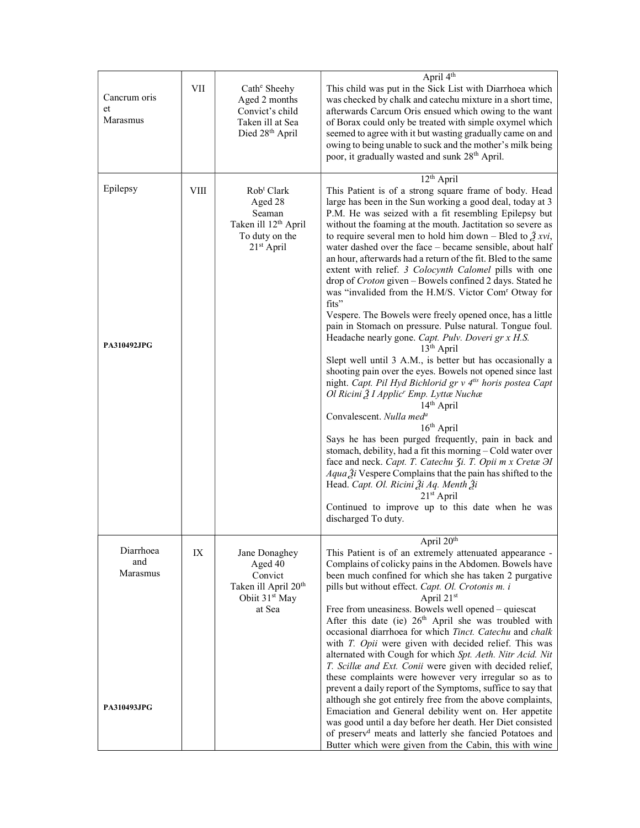| Cancrum oris<br>et<br>Marasmus                     | VII         | Cath <sup>e</sup> Sheehy<br>Aged 2 months<br>Convict's child<br>Taken ill at Sea<br>Died 28th April                         | April 4 <sup>th</sup><br>This child was put in the Sick List with Diarrhoea which<br>was checked by chalk and catechu mixture in a short time,<br>afterwards Carcum Oris ensued which owing to the want<br>of Borax could only be treated with simple oxymel which<br>seemed to agree with it but wasting gradually came on and<br>owing to being unable to suck and the mother's milk being<br>poor, it gradually wasted and sunk 28 <sup>th</sup> April.                                                                                                                                                                                                                                                                                                                                                                                                                                                                                                                                                                                                                                                                                                                                                                                                                                                                                                                                                                                                                                                                                                                                    |
|----------------------------------------------------|-------------|-----------------------------------------------------------------------------------------------------------------------------|-----------------------------------------------------------------------------------------------------------------------------------------------------------------------------------------------------------------------------------------------------------------------------------------------------------------------------------------------------------------------------------------------------------------------------------------------------------------------------------------------------------------------------------------------------------------------------------------------------------------------------------------------------------------------------------------------------------------------------------------------------------------------------------------------------------------------------------------------------------------------------------------------------------------------------------------------------------------------------------------------------------------------------------------------------------------------------------------------------------------------------------------------------------------------------------------------------------------------------------------------------------------------------------------------------------------------------------------------------------------------------------------------------------------------------------------------------------------------------------------------------------------------------------------------------------------------------------------------|
| Epilepsy<br><b>PA310492JPG</b>                     | <b>VIII</b> | Rob <sup>t</sup> Clark<br>Aged 28<br>Seaman<br>Taken ill 12 <sup>th</sup> April<br>To duty on the<br>21 <sup>st</sup> April | 12 <sup>th</sup> April<br>This Patient is of a strong square frame of body. Head<br>large has been in the Sun working a good deal, today at 3<br>P.M. He was seized with a fit resembling Epilepsy but<br>without the foaming at the mouth. Jactitation so severe as<br>to require several men to hold him down – Bled to $\tilde{Z} x v i$ ,<br>water dashed over the face - became sensible, about half<br>an hour, afterwards had a return of the fit. Bled to the same<br>extent with relief. 3 Colocynth Calomel pills with one<br>drop of Croton given - Bowels confined 2 days. Stated he<br>was "invalided from the H.M/S. Victor Com' Otway for<br>fits"<br>Vespere. The Bowels were freely opened once, has a little<br>pain in Stomach on pressure. Pulse natural. Tongue foul.<br>Headache nearly gone. Capt. Pulv. Doveri gr x H.S.<br>13 <sup>th</sup> April<br>Slept well until 3 A.M., is better but has occasionally a<br>shooting pain over the eyes. Bowels not opened since last<br>night. Capt. Pil Hyd Bichlorid gr v 4tis horis postea Capt<br>Ol Ricini 2 I Applic' Emp. Lyttæ Nuchæ<br>14 <sup>th</sup> April<br>Convalescent. Nulla med <sup>a</sup><br>$16th$ April<br>Says he has been purged frequently, pain in back and<br>stomach, debility, had a fit this morning - Cold water over<br>face and neck. Capt. T. Catechu 3i. T. Opii m x Cretæ H<br>$Aqua \tilde{Z}i$ Vespere Complains that the pain has shifted to the<br>Head. Capt. Ol. Ricini Ži Aq. Menth Ži<br>$21st$ April<br>Continued to improve up to this date when he was<br>discharged To duty. |
| Diarrhoea<br>and<br>Marasmus<br><b>PA310493JPG</b> | IX          | Jane Donaghey<br>Aged 40<br>Convict<br>Taken ill April 20 <sup>th</sup><br>Obiit 31 <sup>st</sup> May<br>at Sea             | April 20 <sup>th</sup><br>This Patient is of an extremely attenuated appearance -<br>Complains of colicky pains in the Abdomen. Bowels have<br>been much confined for which she has taken 2 purgative<br>pills but without effect. Capt. Ol. Crotonis m. i<br>April $21st$<br>Free from uneasiness. Bowels well opened - quiescat<br>After this date (ie) 26 <sup>th</sup> April she was troubled with<br>occasional diarrhoea for which Tinct. Catechu and chalk<br>with T. Opii were given with decided relief. This was<br>alternated with Cough for which Spt. Aeth. Nitr Acid. Nit<br>T. Scillæ and Ext. Conii were given with decided relief,<br>these complaints were however very irregular so as to<br>prevent a daily report of the Symptoms, suffice to say that<br>although she got entirely free from the above complaints,<br>Emaciation and General debility went on. Her appetite<br>was good until a day before her death. Her Diet consisted<br>of preserv <sup>d</sup> meats and latterly she fancied Potatoes and<br>Butter which were given from the Cabin, this with wine                                                                                                                                                                                                                                                                                                                                                                                                                                                                                               |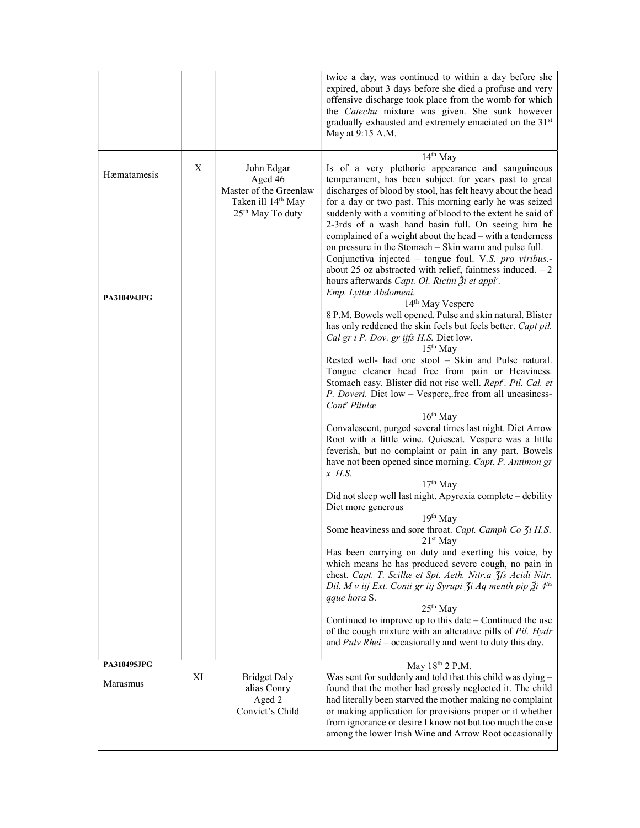|                                   |    |                                                                                                                   | twice a day, was continued to within a day before she<br>expired, about 3 days before she died a profuse and very<br>offensive discharge took place from the womb for which<br>the Catechu mixture was given. She sunk however<br>gradually exhausted and extremely emaciated on the 31st<br>May at 9:15 A.M.                                                                                                                                                                                                                                                                                                                                                                                                                                                                                                                                                                                                       |
|-----------------------------------|----|-------------------------------------------------------------------------------------------------------------------|---------------------------------------------------------------------------------------------------------------------------------------------------------------------------------------------------------------------------------------------------------------------------------------------------------------------------------------------------------------------------------------------------------------------------------------------------------------------------------------------------------------------------------------------------------------------------------------------------------------------------------------------------------------------------------------------------------------------------------------------------------------------------------------------------------------------------------------------------------------------------------------------------------------------|
| Hæmatamesis<br><b>PA310494JPG</b> | X  | John Edgar<br>Aged 46<br>Master of the Greenlaw<br>Taken ill 14 <sup>th</sup> May<br>25 <sup>th</sup> May To duty | 14 <sup>th</sup> May<br>Is of a very plethoric appearance and sanguineous<br>temperament, has been subject for years past to great<br>discharges of blood by stool, has felt heavy about the head<br>for a day or two past. This morning early he was seized<br>suddenly with a vomiting of blood to the extent he said of<br>2-3rds of a wash hand basin full. On seeing him he<br>complained of a weight about the head – with a tenderness<br>on pressure in the Stomach – Skin warm and pulse full.<br>Conjunctiva injected – tongue foul. V.S. pro viribus.-<br>about 25 oz abstracted with relief, faintness induced. $-2$<br>hours afterwards Capt. Ol. Ricini Ži et appl".<br>Emp. Lyttæ Abdomeni.<br>14 <sup>th</sup> May Vespere<br>8 P.M. Bowels well opened. Pulse and skin natural. Blister<br>has only reddened the skin feels but feels better. Capt pil.<br>Cal gr i P. Dov. gr ijfs H.S. Diet low. |
|                                   |    |                                                                                                                   | $15th$ May<br>Rested well- had one stool - Skin and Pulse natural.<br>Tongue cleaner head free from pain or Heaviness.<br>Stomach easy. Blister did not rise well. Rept'. Pil. Cal. et<br>P. Doveri. Diet low - Vespere, free from all uneasiness-<br>Cont <sup>r</sup> Pilulæ<br>$16th$ May<br>Convalescent, purged several times last night. Diet Arrow<br>Root with a little wine. Quiescat. Vespere was a little<br>feverish, but no complaint or pain in any part. Bowels<br>have not been opened since morning. Capt. P. Antimon gr<br>$x$ H.S.<br>$17th$ May<br>Did not sleep well last night. Apyrexia complete - debility<br>Diet more generous                                                                                                                                                                                                                                                            |
|                                   |    |                                                                                                                   | $19th$ May<br>Some heaviness and sore throat. Capt. Camph Co 3i H.S.<br>21st May<br>Has been carrying on duty and exerting his voice, by<br>which means he has produced severe cough, no pain in<br>chest. Capt. T. Scillæ et Spt. Aeth. Nitr.a 3fs Acidi Nitr.<br>Dil. M v iij Ext. Conii gr iij Syrupi 3i Aq menth pip $\tilde{A}$ i 4 <sup>tis</sup><br>qque hora S.<br>$25th$ May<br>Continued to improve up to this date $-$ Continued the use<br>of the cough mixture with an alterative pills of Pil. Hydr<br>and $Pulv$ Rhei – occasionally and went to duty this day.                                                                                                                                                                                                                                                                                                                                      |
| PA310495JPG<br>Marasmus           | XI | <b>Bridget Daly</b><br>alias Conry<br>Aged 2<br>Convict's Child                                                   | May 18 <sup>th</sup> 2 P.M.<br>Was sent for suddenly and told that this child was dying -<br>found that the mother had grossly neglected it. The child<br>had literally been starved the mother making no complaint<br>or making application for provisions proper or it whether<br>from ignorance or desire I know not but too much the case<br>among the lower Irish Wine and Arrow Root occasionally                                                                                                                                                                                                                                                                                                                                                                                                                                                                                                             |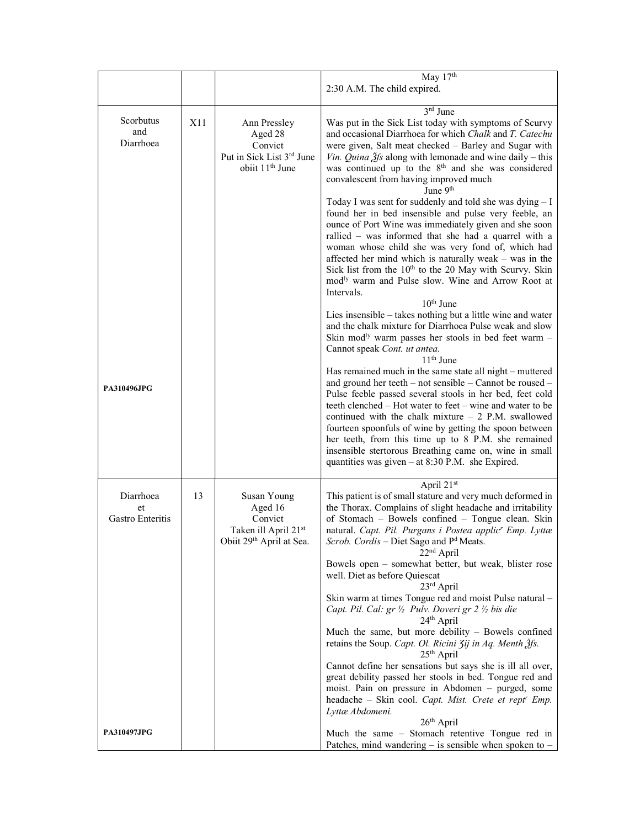|                                     |     |                                                                                                   | May 17th<br>2:30 A.M. The child expired.                                                                                                                                                                                                                                                                                                                                                                                                                                                                                                                                            |
|-------------------------------------|-----|---------------------------------------------------------------------------------------------------|-------------------------------------------------------------------------------------------------------------------------------------------------------------------------------------------------------------------------------------------------------------------------------------------------------------------------------------------------------------------------------------------------------------------------------------------------------------------------------------------------------------------------------------------------------------------------------------|
| Scorbutus<br>and<br>Diarrhoea       | X11 | Ann Pressley<br>Aged 28<br>Convict<br>Put in Sick List 3rd June<br>obiit 11 <sup>th</sup> June    | $3rd$ June<br>Was put in the Sick List today with symptoms of Scurvy<br>and occasional Diarrhoea for which Chalk and T. Catechu<br>were given, Salt meat checked - Barley and Sugar with<br><i>Vin. Quina <math>\hat{g}</math>fs</i> along with lemonade and wine daily – this<br>was continued up to the 8 <sup>th</sup> and she was considered<br>convalescent from having improved much<br>June 9 <sup>th</sup>                                                                                                                                                                  |
|                                     |     |                                                                                                   | Today I was sent for suddenly and told she was dying $- I$<br>found her in bed insensible and pulse very feeble, an<br>ounce of Port Wine was immediately given and she soon<br>rallied – was informed that she had a quarrel with a<br>woman whose child she was very fond of, which had<br>affected her mind which is naturally weak – was in the<br>Sick list from the 10 <sup>th</sup> to the 20 May with Scurvy. Skin<br>mod <sup>ly</sup> warm and Pulse slow. Wine and Arrow Root at<br>Intervals.                                                                           |
|                                     |     |                                                                                                   | $10th$ June<br>Lies insensible – takes nothing but a little wine and water<br>and the chalk mixture for Diarrhoea Pulse weak and slow<br>Skin mod <sup>ly</sup> warm passes her stools in bed feet warm $-$<br>Cannot speak Cont. ut antea.<br>$11th$ June                                                                                                                                                                                                                                                                                                                          |
| <b>PA310496JPG</b>                  |     |                                                                                                   | Has remained much in the same state all night – muttered<br>and ground her teeth – not sensible – Cannot be roused –<br>Pulse feeble passed several stools in her bed, feet cold<br>teeth clenched – Hot water to feet – wine and water to be<br>continued with the chalk mixture $-2$ P.M. swallowed<br>fourteen spoonfuls of wine by getting the spoon between<br>her teeth, from this time up to 8 P.M. she remained<br>insensible stertorous Breathing came on, wine in small<br>quantities was given $-$ at 8:30 P.M. she Expired.                                             |
| Diarrhoea<br>et<br>Gastro Enteritis | 13  | Susan Young<br>Aged 16<br>Convict<br>Taken ill April 21st<br>Obiit 29 <sup>th</sup> April at Sea. | April 21st<br>This patient is of small stature and very much deformed in<br>the Thorax. Complains of slight headache and irritability<br>of Stomach - Bowels confined - Tongue clean. Skin<br>natural. Capt. Pil. Purgans i Postea applic <sup>r</sup> Emp. Lyttæ<br>Scrob. Cordis - Diet Sago and Pd Meats.<br>$22nd$ April<br>Bowels open - somewhat better, but weak, blister rose<br>well. Diet as before Quiescat<br>$23rd$ April<br>Skin warm at times Tongue red and moist Pulse natural -<br>Capt. Pil. Cal: gr 1/2 Pulv. Doveri gr 2 1/2 bis die<br>24 <sup>th</sup> April |
|                                     |     |                                                                                                   | Much the same, but more debility - Bowels confined<br>retains the Soup. Capt. Ol. Ricini 3ij in Aq. Menth 3fs.<br>$25th$ April<br>Cannot define her sensations but says she is ill all over,<br>great debility passed her stools in bed. Tongue red and<br>moist. Pain on pressure in Abdomen – purged, some<br>headache - Skin cool. Capt. Mist. Crete et rept' Emp.<br>Lyttæ Abdomeni.<br>$26th$ April                                                                                                                                                                            |
| <b>PA310497JPG</b>                  |     |                                                                                                   | Much the same - Stomach retentive Tongue red in<br>Patches, mind wandering $-$ is sensible when spoken to $-$                                                                                                                                                                                                                                                                                                                                                                                                                                                                       |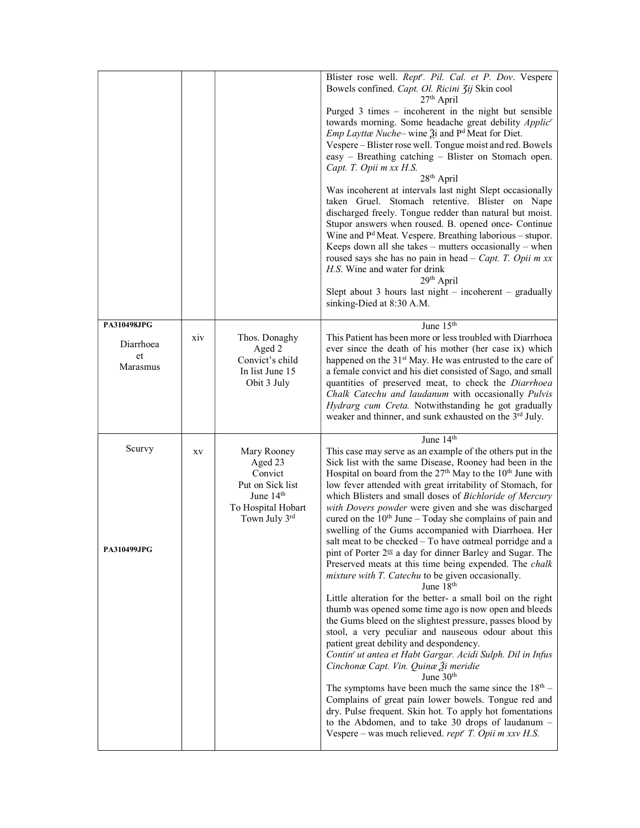|                                            |     |                                                                                                             | Blister rose well. Rept'. Pil. Cal. et P. Dov. Vespere<br>Bowels confined. Capt. Ol. Ricini 3ij Skin cool<br>$27th$ April<br>Purged 3 times – incoherent in the night but sensible<br>towards morning. Some headache great debility Applic'<br><i>Emp Layttæ Nuche</i> – wine $\tilde{A}$ i and P <sup>d</sup> Meat for Diet.<br>Vespere - Blister rose well. Tongue moist and red. Bowels<br>easy - Breathing catching - Blister on Stomach open.<br>Capt. T. Opii m xx H.S.<br>28 <sup>th</sup> April<br>Was incoherent at intervals last night Slept occasionally<br>taken Gruel. Stomach retentive. Blister on Nape<br>discharged freely. Tongue redder than natural but moist.<br>Stupor answers when roused. B. opened once- Continue<br>Wine and $Pd$ Meat. Vespere. Breathing laborious – stupor.<br>Keeps down all she takes $-$ mutters occasionally $-$ when<br>roused says she has no pain in head $-$ Capt. T. Opii m xx<br>H.S. Wine and water for drink<br>29 <sup>th</sup> April<br>Slept about 3 hours last night $-$ incoherent $-$ gradually<br>sinking-Died at 8:30 A.M.                                                                                                                                                                                                                                                                                                                                                                                                                                         |
|--------------------------------------------|-----|-------------------------------------------------------------------------------------------------------------|--------------------------------------------------------------------------------------------------------------------------------------------------------------------------------------------------------------------------------------------------------------------------------------------------------------------------------------------------------------------------------------------------------------------------------------------------------------------------------------------------------------------------------------------------------------------------------------------------------------------------------------------------------------------------------------------------------------------------------------------------------------------------------------------------------------------------------------------------------------------------------------------------------------------------------------------------------------------------------------------------------------------------------------------------------------------------------------------------------------------------------------------------------------------------------------------------------------------------------------------------------------------------------------------------------------------------------------------------------------------------------------------------------------------------------------------------------------------------------------------------------------------------------------|
| PA310498JPG<br>Diarrhoea<br>et<br>Marasmus | XIV | Thos. Donaghy<br>Aged 2<br>Convict's child<br>In list June 15<br>Obit 3 July                                | June 15th<br>This Patient has been more or less troubled with Diarrhoea<br>ever since the death of his mother (her case ix) which<br>happened on the 31 <sup>st</sup> May. He was entrusted to the care of<br>a female convict and his diet consisted of Sago, and small<br>quantities of preserved meat, to check the Diarrhoea<br>Chalk Catechu and laudanum with occasionally Pulvis<br>Hydrarg cum Creta. Notwithstanding he got gradually<br>weaker and thinner, and sunk exhausted on the 3rd July.                                                                                                                                                                                                                                                                                                                                                                                                                                                                                                                                                                                                                                                                                                                                                                                                                                                                                                                                                                                                                            |
| Scurvy<br><b>PA310499JPG</b>               | XV  | Mary Rooney<br>Aged 23<br>Convict<br>Put on Sick list<br>June $14th$<br>To Hospital Hobart<br>Town July 3rd | June $14th$<br>This case may serve as an example of the others put in the<br>Sick list with the same Disease, Rooney had been in the<br>Hospital on board from the 27 <sup>th</sup> May to the 10 <sup>th</sup> June with<br>low fever attended with great irritability of Stomach, for<br>which Blisters and small doses of Bichloride of Mercury<br>with Dovers powder were given and she was discharged<br>cured on the $10th$ June – Today she complains of pain and<br>swelling of the Gums accompanied with Diarrhoea. Her<br>salt meat to be checked - To have oatmeal porridge and a<br>pint of Porter 2 <sup>ce</sup> a day for dinner Barley and Sugar. The<br>Preserved meats at this time being expended. The chalk<br>mixture with T. Catechu to be given occasionally.<br>June 18 <sup>th</sup><br>Little alteration for the better- a small boil on the right<br>thumb was opened some time ago is now open and bleeds<br>the Gums bleed on the slightest pressure, passes blood by<br>stool, a very peculiar and nauseous odour about this<br>patient great debility and despondency.<br>Contin' ut antea et Habt Gargar. Acidi Sulph. Dil in Infus<br>Cinchonæ Capt. Vin. Quinæ Ži meridie<br>June $30th$<br>The symptoms have been much the same since the $18th$ –<br>Complains of great pain lower bowels. Tongue red and<br>dry. Pulse frequent. Skin hot. To apply hot fomentations<br>to the Abdomen, and to take 30 drops of laudanum -<br>Vespere – was much relieved. rept <sup>r</sup> T. Opii m xxv H.S. |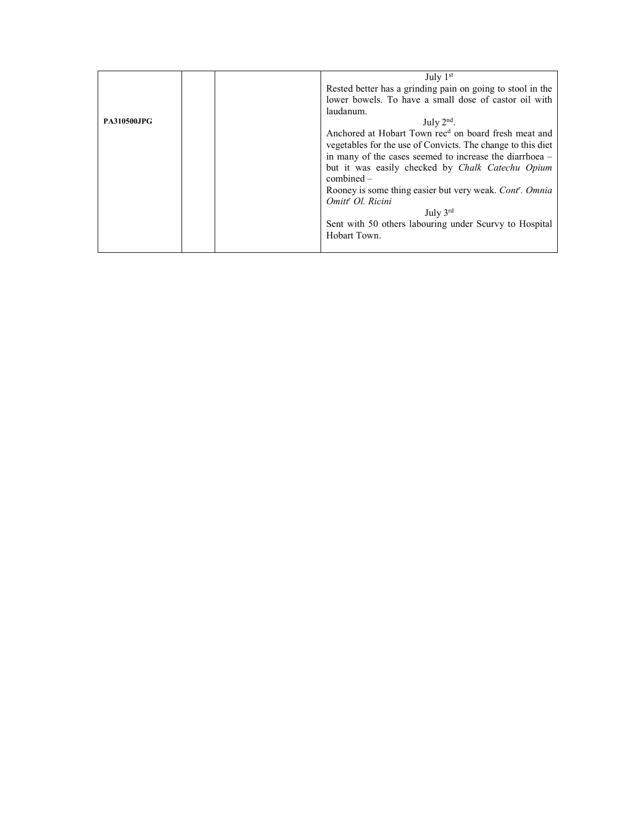|                    |  |              | July $1st$                                                       |  |  |  |  |
|--------------------|--|--------------|------------------------------------------------------------------|--|--|--|--|
|                    |  |              | Rested better has a grinding pain on going to stool in the       |  |  |  |  |
|                    |  |              | lower bowels. To have a small dose of castor oil with            |  |  |  |  |
|                    |  |              | laudanum.                                                        |  |  |  |  |
| <b>PA310500JPG</b> |  | July $2nd$ . |                                                                  |  |  |  |  |
|                    |  |              | Anchored at Hobart Town rec <sup>d</sup> on board fresh meat and |  |  |  |  |
|                    |  |              | vegetables for the use of Convicts. The change to this diet      |  |  |  |  |
|                    |  |              | in many of the cases seemed to increase the diarrhoea -          |  |  |  |  |
|                    |  |              | but it was easily checked by Chalk Catechu Opium                 |  |  |  |  |
|                    |  |              | $combined -$                                                     |  |  |  |  |
|                    |  |              | Rooney is some thing easier but very weak. Cont'. Omnia          |  |  |  |  |
|                    |  |              | Omitt <sup>r</sup> Ol. Ricini                                    |  |  |  |  |
|                    |  |              | July $3^{\text{rd}}$                                             |  |  |  |  |
|                    |  |              | Sent with 50 others labouring under Scurvy to Hospital           |  |  |  |  |
|                    |  |              | Hobart Town.                                                     |  |  |  |  |
|                    |  |              |                                                                  |  |  |  |  |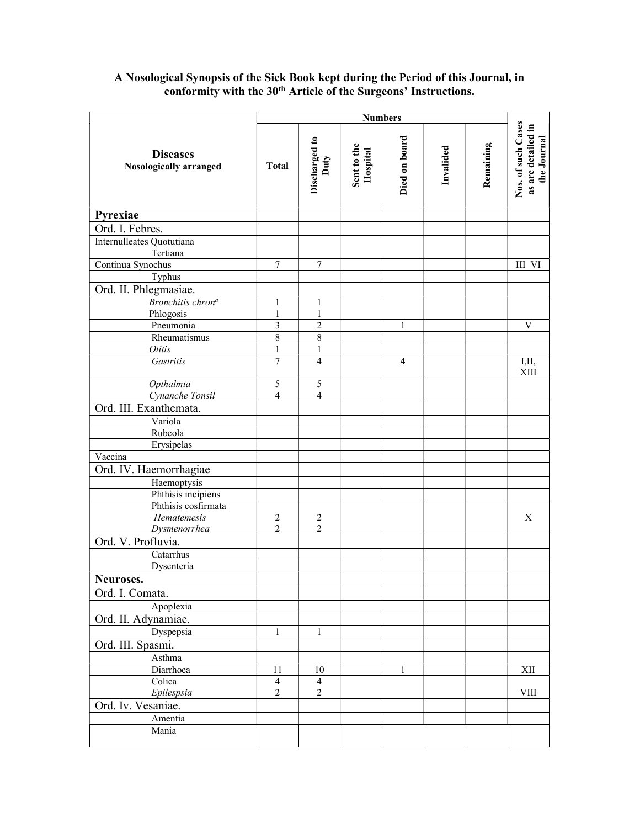#### **Diseases** Nosologically arranged Numbers<br>
Discharged to<br>
Duty<br>
Duty<br>
Hospital<br>
Died on board<br>
Died on board<br>
Invalided<br>
Invalided<br>
Remaining<br>
Remaining<br>
Remaining<br>
Nos. of such Cases<br>
as are detailed in Pyrexiae Ord. I. Febres. Internulleates Quotutiana Tertiana Continua Synochus 7 7 III VI Typhus Ord. II. Phlegmasiae. Bronchitis chron<sup>a</sup> Phlogosis 1 1 1 1 Pneumonia 3 3 2 1 1 V Rheumatismus 8 8 Otitis 1 1 1 1 Gastritis  $\begin{array}{|c|c|c|c|c|c|c|c|c|} \hline \end{array}$   $\begin{array}{|c|c|c|c|c|c|c|c|} \hline \end{array}$  4  $\begin{array}{|c|c|c|c|c|c|} \hline \end{array}$  4  $\begin{array}{|c|c|c|c|c|} \hline \end{array}$  1,11, XIII **Opthalmia**  Cynanche Tonsil 5 4 5 4 Ord. III. Exanthemata. Variola Rubeola Erysipelas Vaccina Ord. IV. Haemorrhagiae Haemoptysis Phthisis incipiens Phthisis cosfirmata Hematemesis Dysmenorrhea 2 2 2 2 X Ord. V. Profluvia. Catarrhus Dysenteria Neuroses. Ord. I. Comata. Apoplexia Ord. II. Adynamiae. Dyspepsia 1 1 1 Ord. III. Spasmi. Asthma Diarrhoea 11 10 10 1 1 XII Colica Epilespsia 4 2 4 2 VIII Ord. Iv. Vesaniae. Amentia Mania

# A Nosological Synopsis of the Sick Book kept during the Period of this Journal, in conformity with the 30<sup>th</sup> Article of the Surgeons' Instructions.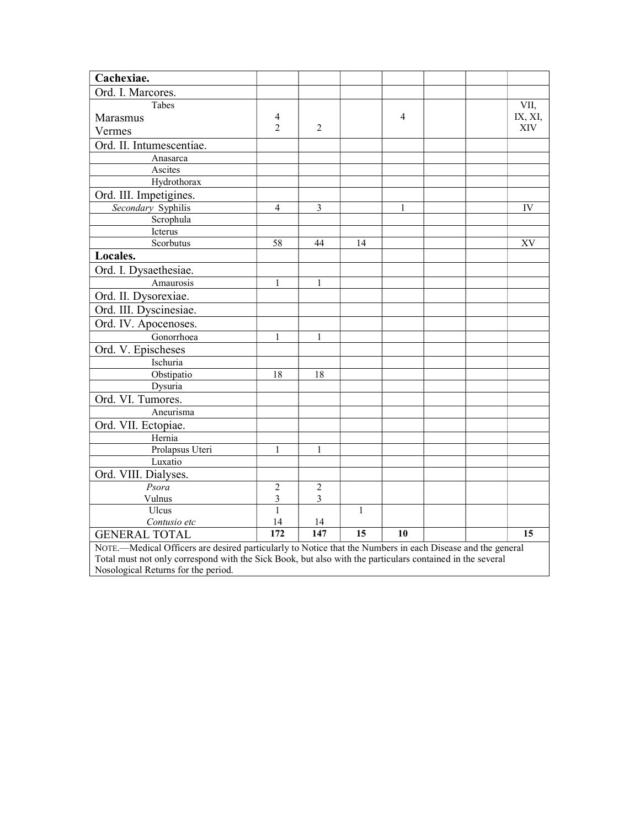| Cachexiae.                                                                                                 |                |                |                 |    |  |  |         |  |  |
|------------------------------------------------------------------------------------------------------------|----------------|----------------|-----------------|----|--|--|---------|--|--|
| Ord. I. Marcores.                                                                                          |                |                |                 |    |  |  |         |  |  |
| Tabes                                                                                                      |                |                |                 |    |  |  | VII,    |  |  |
| Marasmus                                                                                                   | 4              |                |                 | 4  |  |  | IX, XI, |  |  |
| Vermes                                                                                                     | 2              | $\overline{2}$ |                 |    |  |  | XIV     |  |  |
| Ord. II. Intumescentiae.                                                                                   |                |                |                 |    |  |  |         |  |  |
| Anasarca                                                                                                   |                |                |                 |    |  |  |         |  |  |
| Ascites                                                                                                    |                |                |                 |    |  |  |         |  |  |
| Hydrothorax                                                                                                |                |                |                 |    |  |  |         |  |  |
| Ord. III. Impetigines.                                                                                     |                |                |                 |    |  |  |         |  |  |
| Secondary Syphilis                                                                                         | $\overline{4}$ | 3              |                 | 1  |  |  | IV      |  |  |
| Scrophula                                                                                                  |                |                |                 |    |  |  |         |  |  |
| Icterus                                                                                                    |                |                |                 |    |  |  |         |  |  |
| Scorbutus                                                                                                  | 58             | 44             | 14              |    |  |  | XV      |  |  |
| Locales.                                                                                                   |                |                |                 |    |  |  |         |  |  |
| Ord. I. Dysaethesiae.                                                                                      |                |                |                 |    |  |  |         |  |  |
| Amaurosis                                                                                                  | 1              | 1              |                 |    |  |  |         |  |  |
| Ord. II. Dysorexiae.                                                                                       |                |                |                 |    |  |  |         |  |  |
| Ord. III. Dyscinesiae.                                                                                     |                |                |                 |    |  |  |         |  |  |
| Ord. IV. Apocenoses.                                                                                       |                |                |                 |    |  |  |         |  |  |
| Gonorrhoea                                                                                                 | 1              | 1              |                 |    |  |  |         |  |  |
| Ord. V. Epischeses                                                                                         |                |                |                 |    |  |  |         |  |  |
| Ischuria                                                                                                   |                |                |                 |    |  |  |         |  |  |
| Obstipatio                                                                                                 | 18             | 18             |                 |    |  |  |         |  |  |
| Dysuria                                                                                                    |                |                |                 |    |  |  |         |  |  |
| Ord. VI. Tumores.                                                                                          |                |                |                 |    |  |  |         |  |  |
| Aneurisma                                                                                                  |                |                |                 |    |  |  |         |  |  |
| Ord. VII. Ectopiae.                                                                                        |                |                |                 |    |  |  |         |  |  |
| Hernia                                                                                                     |                |                |                 |    |  |  |         |  |  |
| Prolapsus Uteri                                                                                            | 1              | 1              |                 |    |  |  |         |  |  |
| Luxatio                                                                                                    |                |                |                 |    |  |  |         |  |  |
| Ord. VIII. Dialyses.                                                                                       |                |                |                 |    |  |  |         |  |  |
| Psora                                                                                                      | $\sqrt{2}$     | $\overline{2}$ |                 |    |  |  |         |  |  |
| Vulnus                                                                                                     | $\mathfrak{Z}$ | 3              |                 |    |  |  |         |  |  |
| Ulcus                                                                                                      | $\mathbf{1}$   |                | $\mathbf{1}$    |    |  |  |         |  |  |
| Contusio etc                                                                                               | 14             | 14             |                 |    |  |  |         |  |  |
| <b>GENERAL TOTAL</b>                                                                                       | 172            | 147            | $\overline{15}$ | 10 |  |  | 15      |  |  |
| NOTE.-Medical Officers are desired particularly to Notice that the Numbers in each Disease and the general |                |                |                 |    |  |  |         |  |  |
| Total must not only correspond with the Sick Book, but also with the particulars contained in the several  |                |                |                 |    |  |  |         |  |  |
| Nosological Returns for the period.                                                                        |                |                |                 |    |  |  |         |  |  |